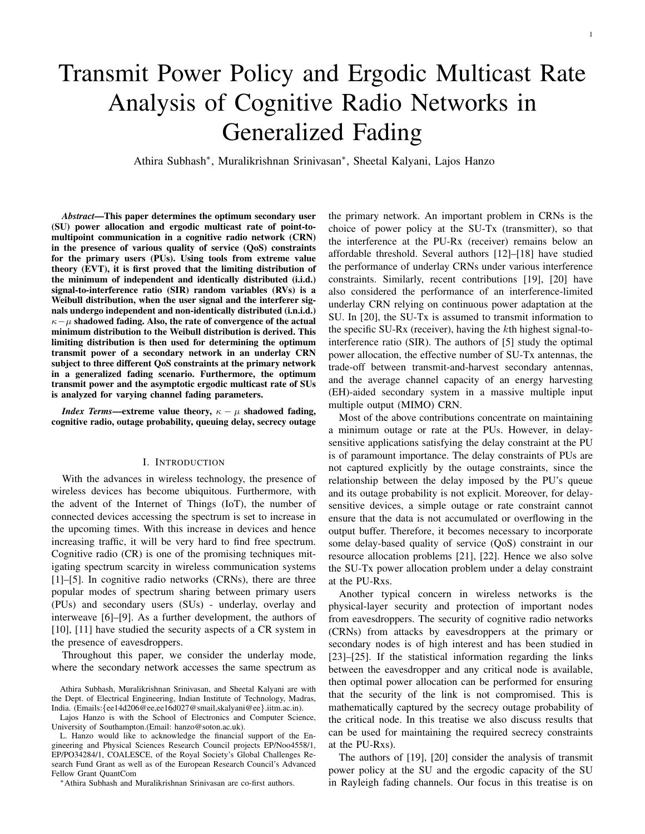# Transmit Power Policy and Ergodic Multicast Rate Analysis of Cognitive Radio Networks in Generalized Fading

Athira Subhash<sup>∗</sup> , Muralikrishnan Srinivasan<sup>∗</sup> , Sheetal Kalyani, Lajos Hanzo

*Abstract*—This paper determines the optimum secondary user (SU) power allocation and ergodic multicast rate of point-tomultipoint communication in a cognitive radio network (CRN) in the presence of various quality of service (QoS) constraints for the primary users (PUs). Using tools from extreme value theory (EVT), it is first proved that the limiting distribution of the minimum of independent and identically distributed (i.i.d.) signal-to-interference ratio (SIR) random variables (RVs) is a Weibull distribution, when the user signal and the interferer signals undergo independent and non-identically distributed (i.n.i.d.)  $\kappa-\mu$  shadowed fading. Also, the rate of convergence of the actual minimum distribution to the Weibull distribution is derived. This limiting distribution is then used for determining the optimum transmit power of a secondary network in an underlay CRN subject to three different QoS constraints at the primary network in a generalized fading scenario. Furthermore, the optimum transmit power and the asymptotic ergodic multicast rate of SUs is analyzed for varying channel fading parameters.

*Index Terms*—extreme value theory,  $\kappa - \mu$  shadowed fading, cognitive radio, outage probability, queuing delay, secrecy outage

## I. INTRODUCTION

With the advances in wireless technology, the presence of wireless devices has become ubiquitous. Furthermore, with the advent of the Internet of Things (IoT), the number of connected devices accessing the spectrum is set to increase in the upcoming times. With this increase in devices and hence increasing traffic, it will be very hard to find free spectrum. Cognitive radio (CR) is one of the promising techniques mitigating spectrum scarcity in wireless communication systems [1]–[5]. In cognitive radio networks (CRNs), there are three popular modes of spectrum sharing between primary users (PUs) and secondary users (SUs) - underlay, overlay and interweave [6]–[9]. As a further development, the authors of [10], [11] have studied the security aspects of a CR system in the presence of eavesdroppers.

Throughout this paper, we consider the underlay mode, where the secondary network accesses the same spectrum as

<sup>∗</sup>Athira Subhash and Muralikrishnan Srinivasan are co-first authors.

the primary network. An important problem in CRNs is the choice of power policy at the SU-Tx (transmitter), so that the interference at the PU-Rx (receiver) remains below an affordable threshold. Several authors [12]–[18] have studied the performance of underlay CRNs under various interference constraints. Similarly, recent contributions [19], [20] have also considered the performance of an interference-limited underlay CRN relying on continuous power adaptation at the SU. In [20], the SU-Tx is assumed to transmit information to the specific SU-Rx (receiver), having the kth highest signal-tointerference ratio (SIR). The authors of [5] study the optimal power allocation, the effective number of SU-Tx antennas, the trade-off between transmit-and-harvest secondary antennas, and the average channel capacity of an energy harvesting (EH)-aided secondary system in a massive multiple input multiple output (MIMO) CRN.

Most of the above contributions concentrate on maintaining a minimum outage or rate at the PUs. However, in delaysensitive applications satisfying the delay constraint at the PU is of paramount importance. The delay constraints of PUs are not captured explicitly by the outage constraints, since the relationship between the delay imposed by the PU's queue and its outage probability is not explicit. Moreover, for delaysensitive devices, a simple outage or rate constraint cannot ensure that the data is not accumulated or overflowing in the output buffer. Therefore, it becomes necessary to incorporate some delay-based quality of service (QoS) constraint in our resource allocation problems [21], [22]. Hence we also solve the SU-Tx power allocation problem under a delay constraint at the PU-Rxs.

Another typical concern in wireless networks is the physical-layer security and protection of important nodes from eavesdroppers. The security of cognitive radio networks (CRNs) from attacks by eavesdroppers at the primary or secondary nodes is of high interest and has been studied in [23]–[25]. If the statistical information regarding the links between the eavesdropper and any critical node is available, then optimal power allocation can be performed for ensuring that the security of the link is not compromised. This is mathematically captured by the secrecy outage probability of the critical node. In this treatise we also discuss results that can be used for maintaining the required secrecy constraints at the PU-Rxs).

The authors of [19], [20] consider the analysis of transmit power policy at the SU and the ergodic capacity of the SU in Rayleigh fading channels. Our focus in this treatise is on

Athira Subhash, Muralikrishnan Srinivasan, and Sheetal Kalyani are with the Dept. of Electrical Engineering, Indian Institute of Technology, Madras, India. (Emails:{ee14d206@ee,ee16d027@smail,skalyani@ee}.iitm.ac.in).

Lajos Hanzo is with the School of Electronics and Computer Science, University of Southampton.(Email: hanzo@soton.ac.uk).

L. Hanzo would like to acknowledge the financial support of the Engineering and Physical Sciences Research Council projects EP/Noo4558/1, EP/PO34284/1, COALESCE, of the Royal Society's Global Challenges Research Fund Grant as well as of the European Research Council's Advanced Fellow Grant QuantCom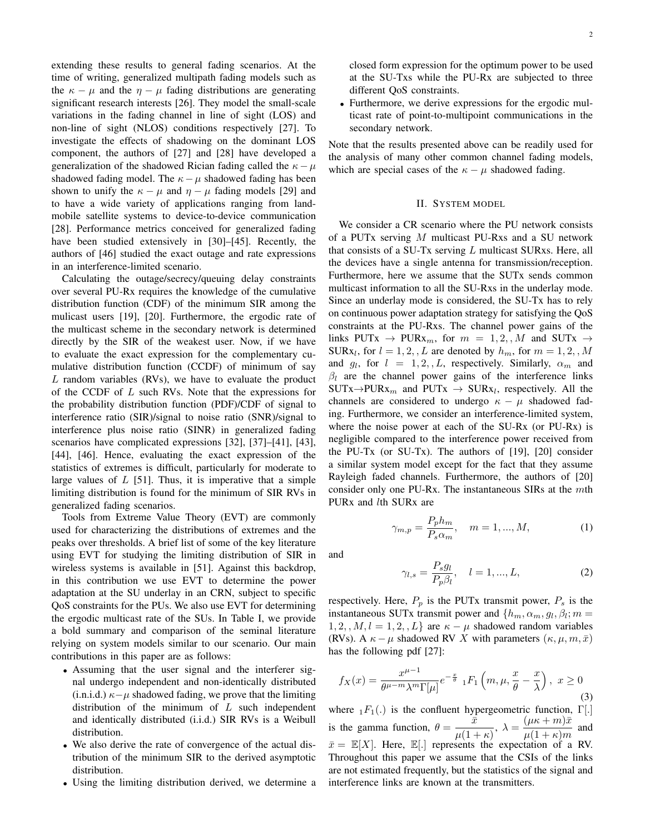extending these results to general fading scenarios. At the time of writing, generalized multipath fading models such as the  $\kappa - \mu$  and the  $\eta - \mu$  fading distributions are generating significant research interests [26]. They model the small-scale variations in the fading channel in line of sight (LOS) and non-line of sight (NLOS) conditions respectively [27]. To investigate the effects of shadowing on the dominant LOS component, the authors of [27] and [28] have developed a generalization of the shadowed Rician fading called the  $\kappa - \mu$ shadowed fading model. The  $\kappa - \mu$  shadowed fading has been shown to unify the  $\kappa - \mu$  and  $\eta - \mu$  fading models [29] and to have a wide variety of applications ranging from landmobile satellite systems to device-to-device communication [28]. Performance metrics conceived for generalized fading have been studied extensively in [30]–[45]. Recently, the authors of [46] studied the exact outage and rate expressions in an interference-limited scenario.

Calculating the outage/secrecy/queuing delay constraints over several PU-Rx requires the knowledge of the cumulative distribution function (CDF) of the minimum SIR among the mulicast users [19], [20]. Furthermore, the ergodic rate of the multicast scheme in the secondary network is determined directly by the SIR of the weakest user. Now, if we have to evaluate the exact expression for the complementary cumulative distribution function (CCDF) of minimum of say L random variables (RVs), we have to evaluate the product of the CCDF of  $L$  such RVs. Note that the expressions for the probability distribution function (PDF)/CDF of signal to interference ratio (SIR)/signal to noise ratio (SNR)/signal to interference plus noise ratio (SINR) in generalized fading scenarios have complicated expressions [32], [37]–[41], [43], [44], [46]. Hence, evaluating the exact expression of the statistics of extremes is difficult, particularly for moderate to large values of  $L$  [51]. Thus, it is imperative that a simple limiting distribution is found for the minimum of SIR RVs in generalized fading scenarios.

Tools from Extreme Value Theory (EVT) are commonly used for characterizing the distributions of extremes and the peaks over thresholds. A brief list of some of the key literature using EVT for studying the limiting distribution of SIR in wireless systems is available in [51]. Against this backdrop, in this contribution we use EVT to determine the power adaptation at the SU underlay in an CRN, subject to specific QoS constraints for the PUs. We also use EVT for determining the ergodic multicast rate of the SUs. In Table I, we provide a bold summary and comparison of the seminal literature relying on system models similar to our scenario. Our main contributions in this paper are as follows:

- Assuming that the user signal and the interferer signal undergo independent and non-identically distributed (i.n.i.d.)  $\kappa-\mu$  shadowed fading, we prove that the limiting distribution of the minimum of  $L$  such independent and identically distributed (i.i.d.) SIR RVs is a Weibull distribution.
- We also derive the rate of convergence of the actual distribution of the minimum SIR to the derived asymptotic distribution.
- Using the limiting distribution derived, we determine a

closed form expression for the optimum power to be used at the SU-Txs while the PU-Rx are subjected to three different QoS constraints.

• Furthermore, we derive expressions for the ergodic multicast rate of point-to-multipoint communications in the secondary network.

Note that the results presented above can be readily used for the analysis of many other common channel fading models, which are special cases of the  $\kappa - \mu$  shadowed fading.

#### II. SYSTEM MODEL

We consider a CR scenario where the PU network consists of a PUTx serving M multicast PU-Rxs and a SU network that consists of a SU-Tx serving  $L$  multicast SURxs. Here, all the devices have a single antenna for transmission/reception. Furthermore, here we assume that the SUTx sends common multicast information to all the SU-Rxs in the underlay mode. Since an underlay mode is considered, the SU-Tx has to rely on continuous power adaptation strategy for satisfying the QoS constraints at the PU-Rxs. The channel power gains of the links PUTx  $\rightarrow$  PURx<sub>m</sub>, for  $m = 1, 2, \mathcal{M}$  and SUTx  $\rightarrow$ SUR $x_l$ , for  $l = 1, 2, L$  are denoted by  $h_m$ , for  $m = 1, 2, M$ and  $g_l$ , for  $l = 1, 2, L$ , respectively. Similarly,  $\alpha_m$  and  $\beta_l$  are the channel power gains of the interference links  $SUTx \rightarrow PURx_m$  and  $PUTx \rightarrow SURx_l$ , respectively. All the channels are considered to undergo  $\kappa - \mu$  shadowed fading. Furthermore, we consider an interference-limited system, where the noise power at each of the SU-Rx (or PU-Rx) is negligible compared to the interference power received from the PU-Tx (or SU-Tx). The authors of [19], [20] consider a similar system model except for the fact that they assume Rayleigh faded channels. Furthermore, the authors of [20] consider only one PU-Rx. The instantaneous SIRs at the mth PUR<sub>x</sub> and *lth* SUR<sub>x</sub> are

$$
\gamma_{m,p} = \frac{P_p h_m}{P_s \alpha_m}, \quad m = 1, ..., M,
$$
 (1)

and

$$
\gamma_{l,s} = \frac{P_s g_l}{P_p \beta_l}, \quad l = 1, ..., L,
$$
\n(2)

respectively. Here,  $P_p$  is the PUTx transmit power,  $P_s$  is the instantaneous SUTx transmit power and  $\{h_m, \alpha_m, g_l, \beta_l; m =$  $1, 2, , M, l = 1, 2, , L$  are  $\kappa - \mu$  shadowed random variables (RVs). A  $\kappa - \mu$  shadowed RV X with parameters  $(\kappa, \mu, m, \bar{x})$ has the following pdf [27]:

$$
f_X(x) = \frac{x^{\mu-1}}{\theta^{\mu-m}\lambda^m \Gamma[\mu]} e^{-\frac{x}{\theta}} {}_1F_1\left(m,\mu,\frac{x}{\theta}-\frac{x}{\lambda}\right), \ x \ge 0
$$
\n(3)

where  $_1F_1(.)$  is the confluent hypergeometric function,  $\Gamma[.]$ is the gamma function,  $\theta = \frac{\bar{x}}{2\pi}$  $\frac{\bar{x}}{\mu(1+\kappa)},\ \lambda=\frac{(\mu\kappa+m)\bar{x}}{\mu(1+\kappa)m}$  $\frac{(\mu + \kappa)^{\alpha}}{\mu(1 + \kappa)m}$  and  $\bar{x} = \mathbb{E}[X]$ . Here,  $\mathbb{E}[.]$  represents the expectation of a RV. Throughout this paper we assume that the CSIs of the links are not estimated frequently, but the statistics of the signal and interference links are known at the transmitters.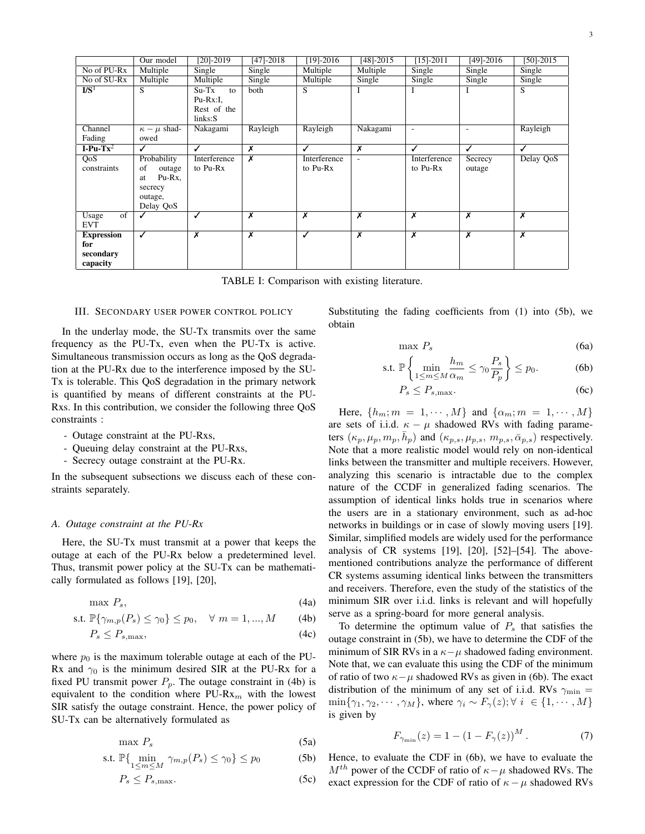|                                                   | Our model                                                                      | $[20]-2019$                                        | $[47] - 2018$           | $[19] - 2016$            | $[48] - 2015$            | $[15]-2011$                | $[49] - 2016$              | $[50]-2015$                |
|---------------------------------------------------|--------------------------------------------------------------------------------|----------------------------------------------------|-------------------------|--------------------------|--------------------------|----------------------------|----------------------------|----------------------------|
| No of PU-Rx                                       | Multiple                                                                       | Single                                             | Single                  | Multiple                 | Multiple                 | Single                     | Single                     | Single                     |
| No of SU-Rx                                       | Multiple                                                                       | Multiple                                           | Single                  | Multiple                 | Single                   | $\overline{\text{Single}}$ | $\overline{\text{Single}}$ | $\overline{\text{Single}}$ |
| $\mathbf{I} \mathbf{/} \mathbf{S}^1$              | S                                                                              | $Su-Tx$<br>to<br>Pu-Rx:I,<br>Rest of the<br>links: | both                    | S                        | Ι                        | -                          | Ι                          | S                          |
| Channel<br>Fading                                 | $\kappa - \mu$ shad-<br>owed                                                   | Nakagami                                           | Rayleigh                | Rayleigh                 | Nakagami                 | $\overline{a}$             | ٠                          | Rayleigh                   |
| I-Pu-Tx <sup>2</sup>                              | ✓                                                                              | ✓                                                  | Х                       | ℐ                        | x                        | ✓                          | ✓                          | ✓                          |
| QoS<br>constraints                                | Probability<br>of<br>outage<br>Pu-Rx.<br>at<br>secrecy<br>outage,<br>Delay QoS | Interference<br>to Pu-Rx                           | X                       | Interference<br>to Pu-Rx | $\overline{\phantom{a}}$ | Interference<br>to Pu-Rx   | Secrecy<br>outage          | Delay QoS                  |
| $\overline{of}$<br>Usage<br><b>EVT</b>            | ✓                                                                              | ✓                                                  | Х                       | x                        | x                        | Х                          | x                          | $\overline{\mathbf{x}}$    |
| <b>Expression</b><br>for<br>secondary<br>capacity | ✓                                                                              | $\overline{\mathsf{x}}$                            | $\overline{\mathsf{x}}$ | ✓                        | $\overline{\mathsf{x}}$  | $\overline{\mathsf{x}}$    | $\overline{\mathsf{x}}$    | $\overline{\mathbf{x}}$    |

TABLE I: Comparison with existing literature.

## III. SECONDARY USER POWER CONTROL POLICY

In the underlay mode, the SU-Tx transmits over the same frequency as the PU-Tx, even when the PU-Tx is active. Simultaneous transmission occurs as long as the QoS degradation at the PU-Rx due to the interference imposed by the SU-Tx is tolerable. This QoS degradation in the primary network is quantified by means of different constraints at the PU-Rxs. In this contribution, we consider the following three QoS constraints :

- Outage constraint at the PU-Rxs,
- Queuing delay constraint at the PU-Rxs,
- Secrecy outage constraint at the PU-Rx.

In the subsequent subsections we discuss each of these constraints separately.

## *A. Outage constraint at the PU-Rx*

Here, the SU-Tx must transmit at a power that keeps the outage at each of the PU-Rx below a predetermined level. Thus, transmit power policy at the SU-Tx can be mathematically formulated as follows [19], [20],

$$
\max P_s,\tag{4a}
$$

$$
\text{s.t. } \mathbb{P}\{\gamma_{m,p}(P_s) \le \gamma_0\} \le p_0, \quad \forall \ m = 1, ..., M \tag{4b}
$$

$$
P_s \le P_{s,\text{max}},\tag{4c}
$$

where  $p_0$  is the maximum tolerable outage at each of the PU-Rx and  $\gamma_0$  is the minimum desired SIR at the PU-Rx for a fixed PU transmit power  $P_p$ . The outage constraint in (4b) is equivalent to the condition where  $PU-Rx_m$  with the lowest SIR satisfy the outage constraint. Hence, the power policy of SU-Tx can be alternatively formulated as

$$
\max P_s \tag{5a}
$$

$$
\text{s.t. } \mathbb{P}\{\min_{1\leq m\leq M} \gamma_{m,p}(P_s) \leq \gamma_0\} \leq p_0 \tag{5b}
$$

$$
P_s \le P_{s,\text{max}}.\tag{5c}
$$

Substituting the fading coefficients from (1) into (5b), we obtain

$$
\max P_s \tag{6a}
$$

$$
\text{s.t. } \mathbb{P}\left\{\min_{1\leq m\leq M} \frac{h_m}{\alpha_m} \leq \gamma_0 \frac{P_s}{P_p}\right\} \leq p_0. \tag{6b}
$$

$$
P_s \le P_{s,\text{max}}.\tag{6c}
$$

Here,  $\{h_m; m = 1, \dots, M\}$  and  $\{\alpha_m; m = 1, \dots, M\}$ are sets of i.i.d.  $\kappa - \mu$  shadowed RVs with fading parameters  $(\kappa_p, \mu_p, m_p, \bar{h}_p)$  and  $(\kappa_{p,s}, \mu_{p,s}, m_{p,s}, \bar{\alpha}_{p,s})$  respectively. Note that a more realistic model would rely on non-identical links between the transmitter and multiple receivers. However, analyzing this scenario is intractable due to the complex nature of the CCDF in generalized fading scenarios. The assumption of identical links holds true in scenarios where the users are in a stationary environment, such as ad-hoc networks in buildings or in case of slowly moving users [19]. Similar, simplified models are widely used for the performance analysis of CR systems [19], [20], [52]–[54]. The abovementioned contributions analyze the performance of different CR systems assuming identical links between the transmitters and receivers. Therefore, even the study of the statistics of the minimum SIR over i.i.d. links is relevant and will hopefully serve as a spring-board for more general analysis.

To determine the optimum value of  $P<sub>s</sub>$  that satisfies the outage constraint in (5b), we have to determine the CDF of the minimum of SIR RVs in a  $\kappa-\mu$  shadowed fading environment. Note that, we can evaluate this using the CDF of the minimum of ratio of two  $\kappa - \mu$  shadowed RVs as given in (6b). The exact distribution of the minimum of any set of i.i.d. RVs  $\gamma_{\text{min}} =$  $\min\{\gamma_1, \gamma_2, \cdots, \gamma_M\}$ , where  $\gamma_i \sim F_\gamma(z)$ ;  $\forall i \in \{1, \cdots, M\}$ is given by

$$
F_{\gamma_{\min}}(z) = 1 - (1 - F_{\gamma}(z))^M.
$$
 (7)

Hence, to evaluate the CDF in (6b), we have to evaluate the  $M<sup>th</sup>$  power of the CCDF of ratio of  $\kappa-\mu$  shadowed RVs. The exact expression for the CDF of ratio of  $\kappa - \mu$  shadowed RVs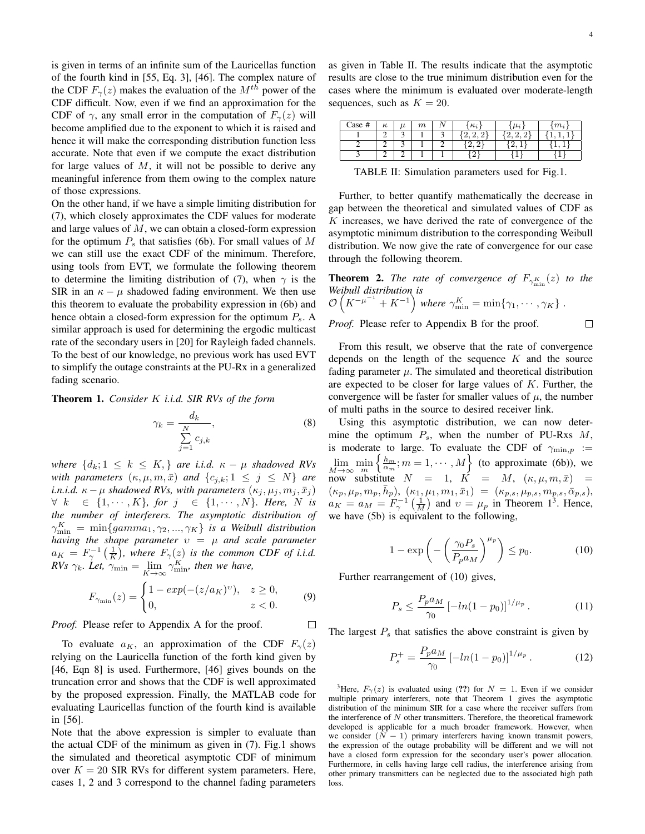is given in terms of an infinite sum of the Lauricellas function of the fourth kind in [55, Eq. 3], [46]. The complex nature of the CDF  $F_{\gamma}(z)$  makes the evaluation of the  $M^{th}$  power of the CDF difficult. Now, even if we find an approximation for the CDF of  $\gamma$ , any small error in the computation of  $F_{\gamma}(z)$  will become amplified due to the exponent to which it is raised and hence it will make the corresponding distribution function less accurate. Note that even if we compute the exact distribution for large values of  $M$ , it will not be possible to derive any meaningful inference from them owing to the complex nature of those expressions.

On the other hand, if we have a simple limiting distribution for (7), which closely approximates the CDF values for moderate and large values of  $M$ , we can obtain a closed-form expression for the optimum  $P_s$  that satisfies (6b). For small values of M we can still use the exact CDF of the minimum. Therefore, using tools from EVT, we formulate the following theorem to determine the limiting distribution of (7), when  $\gamma$  is the SIR in an  $\kappa - \mu$  shadowed fading environment. We then use this theorem to evaluate the probability expression in (6b) and hence obtain a closed-form expression for the optimum  $P_s$ . A similar approach is used for determining the ergodic multicast rate of the secondary users in [20] for Rayleigh faded channels. To the best of our knowledge, no previous work has used EVT to simplify the outage constraints at the PU-Rx in a generalized fading scenario.

Theorem 1. *Consider* K *i.i.d. SIR RVs of the form*

$$
\gamma_k = \frac{d_k}{\sum\limits_{j=1}^N c_{j,k}},\tag{8}
$$

 $\Box$ 

*where*  $\{d_k; 1 \leq k \leq K\}$  *are i.i.d.*  $\kappa - \mu$  *shadowed RVs with parameters*  $(\kappa, \mu, m, \bar{x})$  *and*  $\{c_{j,k}; 1 \leq j \leq N\}$  *are i.n.i.d.*  $\kappa - \mu$  *shadowed RVs, with parameters*  $(\kappa_j, \mu_j, m_j, \bar{x}_j)$  $∀ k ∈ {1, · · · , K}$ *, for*  $j ∈ {1, · · · , N}$ *. Here, N is the number of interferers. The asymptotic distribution of*  $\gamma_{\min}^K = \min \{gamma_1, \gamma_2, ..., \gamma_K\}$  *is a Weibull distribution having the shape parameter*  $v = \mu$  *and scale parameter*  $a_K = F_\gamma^{-1}\left(\frac{1}{K}\right)$ , where  $F_\gamma(z)$  is the common CDF of i.i.d. *RVs*  $\gamma_k$ *. Let,*  $\gamma_{\min} = \lim_{K \to \infty} \gamma_{\min}^K$ *, then we have,* 

$$
F_{\gamma_{\min}}(z) = \begin{cases} 1 - exp(-(z/a_K)^v), & z \ge 0, \\ 0, & z < 0. \end{cases}
$$
(9)

*Proof.* Please refer to Appendix A for the proof.

To evaluate  $a_K$ , an approximation of the CDF  $F_\gamma(z)$ relying on the Lauricella function of the forth kind given by [46, Eqn 8] is used. Furthermore, [46] gives bounds on the truncation error and shows that the CDF is well approximated by the proposed expression. Finally, the MATLAB code for evaluating Lauricellas function of the fourth kind is available in [56].

Note that the above expression is simpler to evaluate than the actual CDF of the minimum as given in (7). Fig.1 shows the simulated and theoretical asymptotic CDF of minimum over  $K = 20$  SIR RVs for different system parameters. Here, cases 1, 2 and 3 correspond to the channel fading parameters as given in Table II. The results indicate that the asymptotic results are close to the true minimum distribution even for the cases where the minimum is evaluated over moderate-length sequences, such as  $K = 20$ .

| $\text{Case }#$ | $\overline{ }$ | $_{m}$ | $\mathbf{r}$ .<br>n <sub>i</sub> | $\cdots$ | $m_i$ |
|-----------------|----------------|--------|----------------------------------|----------|-------|
|                 |                |        |                                  |          |       |
|                 |                |        | ∩                                |          |       |
|                 |                |        |                                  |          |       |

TABLE II: Simulation parameters used for Fig.1.

Further, to better quantify mathematically the decrease in gap between the theoretical and simulated values of CDF as  $K$  increases, we have derived the rate of convergence of the asymptotic minimum distribution to the corresponding Weibull distribution. We now give the rate of convergence for our case through the following theorem.

**Theorem 2.** *The rate of convergence of*  $F_{\gamma_{\min}^K}(z)$  *to the Weibull distribution is*<br> $\mathcal{O}(K^{-\mu^{-1}} + K^{-1})$ −1

$$
\mathcal{O}\left(K^{-\mu^{-1}} + K^{-1}\right) \text{ where } \gamma_{\min}^K = \min\{\gamma_1, \cdots, \gamma_K\}.
$$
  
*Proof.* Please refer to Appendix B for the proof.

From this result, we observe that the rate of convergence depends on the length of the sequence  $K$  and the source fading parameter  $\mu$ . The simulated and theoretical distribution are expected to be closer for large values of  $K$ . Further, the convergence will be faster for smaller values of  $\mu$ , the number of multi paths in the source to desired receiver link.

Using this asymptotic distribution, we can now determine the optimum  $P_s$ , when the number of PU-Rxs  $M$ , is moderate to large. To evaluate the CDF of  $\gamma_{\text{min},p}$  :=  $\lim_{M\to\infty} \min_m$  $\left\{\frac{h_m}{\alpha_m}; m = 1, \cdots, M\right\}$  (to approximate (6b)), we now substitute  $N = 1$ ,  $K = M$ ,  $(\kappa, \mu, m, \bar{x}) =$  $(\kappa_p, \mu_p, m_p, \bar{h}_p), \; (\kappa_1, \mu_1, m_1, \bar{x}_1) \; = \; (\kappa_{p,s}, \mu_{p,s}, m_{p,s}, \bar{\alpha}_{p,s}),$  $a_K = a_M = F_\gamma^{-1}\left(\frac{1}{M}\right)$  and  $v = \mu_p$  in Theorem 1<sup>3</sup>. Hence, we have (5b) is equivalent to the following,

$$
1 - \exp\left(-\left(\frac{\gamma_0 P_s}{P_p a_M}\right)^{\mu_p}\right) \le p_0. \tag{10}
$$

Further rearrangement of (10) gives,

$$
P_s \le \frac{P_p a_M}{\gamma_0} \left[ -\ln(1 - p_0) \right]^{1/\mu_p} . \tag{11}
$$

The largest  $P<sub>s</sub>$  that satisfies the above constraint is given by

$$
P_s^+ = \frac{P_p a_M}{\gamma_0} \left[ -\ln(1 - p_0) \right]^{1/\mu_p} . \tag{12}
$$

<sup>3</sup>Here,  $F_{\gamma}(z)$  is evaluated using (??) for  $N = 1$ . Even if we consider multiple primary interferers, note that Theorem 1 gives the asymptotic distribution of the minimum SIR for a case where the receiver suffers from the interference of  $N$  other transmitters. Therefore, the theoretical framework developed is applicable for a much broader framework. However, when we consider  $(N - 1)$  primary interferers having known transmit powers, the expression of the outage probability will be different and we will not have a closed form expression for the secondary user's power allocation. Furthermore, in cells having large cell radius, the interference arising from other primary transmitters can be neglected due to the associated high path loss.

 $\Box$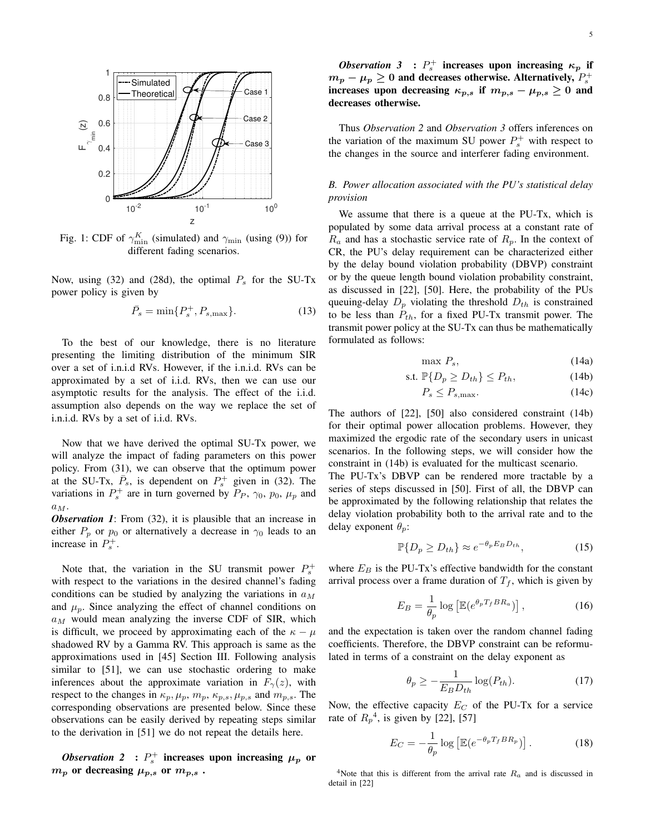

Fig. 1: CDF of  $\gamma_{\min}^K$  (simulated) and  $\gamma_{\min}$  (using (9)) for different fading scenarios.

Now, using (32) and (28d), the optimal  $P_s$  for the SU-Tx power policy is given by

$$
\bar{P}_s = \min\{P_s^+, P_{s,\text{max}}\}.
$$
 (13)

To the best of our knowledge, there is no literature presenting the limiting distribution of the minimum SIR over a set of i.n.i.d RVs. However, if the i.n.i.d. RVs can be approximated by a set of i.i.d. RVs, then we can use our asymptotic results for the analysis. The effect of the i.i.d. assumption also depends on the way we replace the set of i.n.i.d. RVs by a set of i.i.d. RVs.

Now that we have derived the optimal SU-Tx power, we will analyze the impact of fading parameters on this power policy. From (31), we can observe that the optimum power at the SU-Tx,  $\overline{P}_s$ , is dependent on  $P_s^+$  given in (32). The variations in  $P_s^+$  are in turn governed by  $P_P$ ,  $\gamma_0$ ,  $p_0$ ,  $\mu_p$  and  $a_M$ .

*Observation 1*: From (32), it is plausible that an increase in either  $P_p$  or  $p_0$  or alternatively a decrease in  $\gamma_0$  leads to an increase in  $P_s^+$ .

Note that, the variation in the SU transmit power  $P_s^+$ with respect to the variations in the desired channel's fading conditions can be studied by analyzing the variations in  $a_M$ and  $\mu_p$ . Since analyzing the effect of channel conditions on  $a_M$  would mean analyzing the inverse CDF of SIR, which is difficult, we proceed by approximating each of the  $\kappa - \mu$ shadowed RV by a Gamma RV. This approach is same as the approximations used in [45] Section III. Following analysis similar to [51], we can use stochastic ordering to make inferences about the approximate variation in  $F_{\gamma}(z)$ , with respect to the changes in  $\kappa_p$ ,  $\mu_p$ ,  $m_p$ ,  $\kappa_{p,s}$ ,  $\mu_{p,s}$  and  $m_{p,s}$ . The corresponding observations are presented below. Since these observations can be easily derived by repeating steps similar to the derivation in [51] we do not repeat the details here.

*Observation* 2 :  $P_s^+$  increases upon increasing  $\mu_p$  or  $m_p$  or decreasing  $\mu_{p,s}$  or  $m_{p,s}$ .

*Observation* 3 :  $P_s^+$  increases upon increasing  $\kappa_p$  if  $m_p - \mu_p \geq 0$  and decreases otherwise. Alternatively,  $P_s^+$ increases upon decreasing  $\kappa_{p,s}$  if  $m_{p,s} - \mu_{p,s} \geq 0$  and decreases otherwise.

Thus *Observation 2* and *Observation 3* offers inferences on the variation of the maximum SU power  $P_s^+$  with respect to the changes in the source and interferer fading environment.

# *B. Power allocation associated with the PU's statistical delay provision*

We assume that there is a queue at the PU-Tx, which is populated by some data arrival process at a constant rate of  $R_a$  and has a stochastic service rate of  $R_p$ . In the context of CR, the PU's delay requirement can be characterized either by the delay bound violation probability (DBVP) constraint or by the queue length bound violation probability constraint, as discussed in [22], [50]. Here, the probability of the PUs queuing-delay  $D_p$  violating the threshold  $D_{th}$  is constrained to be less than  $P_{th}$ , for a fixed PU-Tx transmit power. The transmit power policy at the SU-Tx can thus be mathematically formulated as follows:

$$
\max P_s, \tag{14a}
$$

$$
\text{s.t. } \mathbb{P}\{D_p \ge D_{th}\} \le P_{th},\tag{14b}
$$

$$
P_s \le P_{s,\text{max}}.\tag{14c}
$$

The authors of [22], [50] also considered constraint (14b) for their optimal power allocation problems. However, they maximized the ergodic rate of the secondary users in unicast scenarios. In the following steps, we will consider how the constraint in (14b) is evaluated for the multicast scenario.

The PU-Tx's DBVP can be rendered more tractable by a series of steps discussed in [50]. First of all, the DBVP can be approximated by the following relationship that relates the delay violation probability both to the arrival rate and to the delay exponent  $\theta_p$ :

$$
\mathbb{P}\{D_p \ge D_{th}\} \approx e^{-\theta_p E_B D_{th}},\tag{15}
$$

where  $E_B$  is the PU-Tx's effective bandwidth for the constant arrival process over a frame duration of  $T_f$ , which is given by

$$
E_B = \frac{1}{\theta_p} \log \left[ \mathbb{E} (e^{\theta_p T_f B R_a}) \right],\tag{16}
$$

and the expectation is taken over the random channel fading coefficients. Therefore, the DBVP constraint can be reformulated in terms of a constraint on the delay exponent as

$$
\theta_p \ge -\frac{1}{E_B D_{th}} \log(P_{th}).\tag{17}
$$

Now, the effective capacity  $E_C$  of the PU-Tx for a service rate of  $R_p^4$ , is given by [22], [57]

$$
E_C = -\frac{1}{\theta_p} \log \left[ \mathbb{E} (e^{-\theta_p T_f B R_p}) \right]. \tag{18}
$$

<sup>4</sup>Note that this is different from the arrival rate  $R_a$  and is discussed in detail in [22]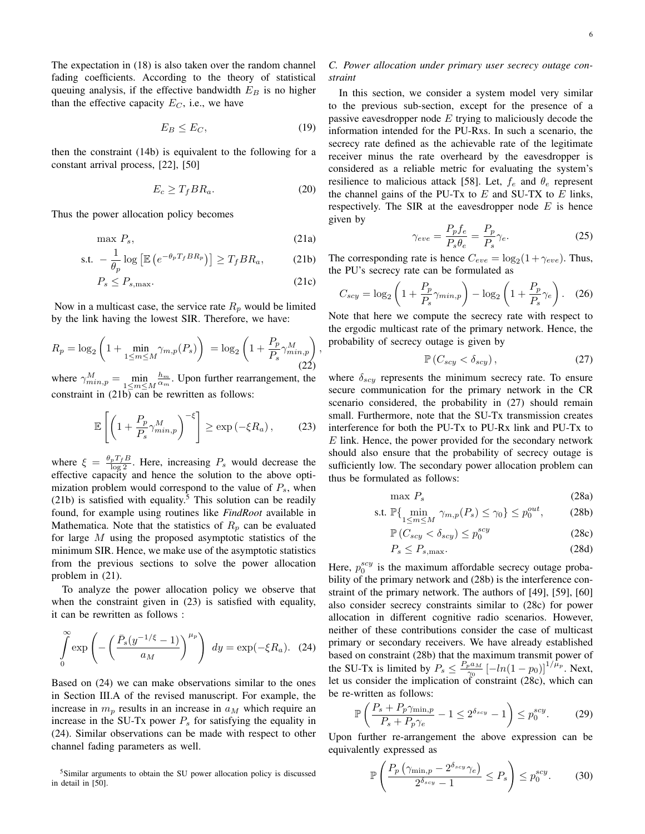The expectation in (18) is also taken over the random channel fading coefficients. According to the theory of statistical queuing analysis, if the effective bandwidth  $E_B$  is no higher than the effective capacity  $E_C$ , i.e., we have

$$
E_B \le E_C,\tag{19}
$$

then the constraint (14b) is equivalent to the following for a constant arrival process, [22], [50]

$$
E_c \ge T_f B R_a. \tag{20}
$$

,

Thus the power allocation policy becomes

$$
\max P_s,\tag{21a}
$$

$$
\text{s.t. } -\frac{1}{\theta_p} \log \left[ \mathbb{E} \left( e^{-\theta_p T_f B R_p} \right) \right] \ge T_f B R_a, \tag{21b}
$$

$$
P_s \le P_{s,\text{max}}.\tag{21c}
$$

Now in a multicast case, the service rate  $R_p$  would be limited by the link having the lowest SIR. Therefore, we have:

$$
R_p = \log_2\left(1 + \min_{1 \le m \le M} \gamma_{m,p}(P_s)\right) = \log_2\left(1 + \frac{P_p}{P_s} \gamma_{min,p}^M\right)
$$
\n(22)

where  $\gamma_{min,p}^M = \min_{1 \le m \le M}$  $\frac{h_m}{\alpha_m}$ . Upon further rearrangement, the constraint in  $(21b)$  can be rewritten as follows:

$$
\mathbb{E}\left[\left(1+\frac{P_p}{P_s}\gamma_{min,p}^M\right)^{-\xi}\right] \geq \exp\left(-\xi R_a\right),\qquad(23)
$$

where  $\xi = \frac{\theta_p T_f B}{\log 2}$ . Here, increasing  $P_s$  would decrease the effective capacity and hence the solution to the above optimization problem would correspond to the value of  $P_s$ , when (21b) is satisfied with equality.<sup>5</sup> This solution can be readily found, for example using routines like *FindRoot* available in Mathematica. Note that the statistics of  $R_p$  can be evaluated for large M using the proposed asymptotic statistics of the minimum SIR. Hence, we make use of the asymptotic statistics from the previous sections to solve the power allocation problem in (21).

To analyze the power allocation policy we observe that when the constraint given in  $(23)$  is satisfied with equality, it can be rewritten as follows :

$$
\int_{0}^{\infty} \exp\left(-\left(\frac{\bar{P}_s(y^{-1/\xi}-1)}{a_M}\right)^{\mu_p}\right) \, dy = \exp(-\xi R_a). \tag{24}
$$

Based on (24) we can make observations similar to the ones in Section III.A of the revised manuscript. For example, the increase in  $m_p$  results in an increase in  $a_M$  which require an increase in the SU-Tx power  $P_s$  for satisfying the equality in (24). Similar observations can be made with respect to other channel fading parameters as well.

<sup>5</sup>Similar arguments to obtain the SU power allocation policy is discussed in detail in [50].

## *C. Power allocation under primary user secrecy outage constraint*

In this section, we consider a system model very similar to the previous sub-section, except for the presence of a passive eavesdropper node  $E$  trying to maliciously decode the information intended for the PU-Rxs. In such a scenario, the secrecy rate defined as the achievable rate of the legitimate receiver minus the rate overheard by the eavesdropper is considered as a reliable metric for evaluating the system's resilience to malicious attack [58]. Let,  $f_e$  and  $\theta_e$  represent the channel gains of the PU-Tx to  $E$  and SU-TX to  $E$  links, respectively. The SIR at the eavesdropper node  $E$  is hence given by

$$
\gamma_{eve} = \frac{P_p f_e}{P_s \theta_e} = \frac{P_p}{P_s} \gamma_e.
$$
\n(25)

The corresponding rate is hence  $C_{eve} = \log_2(1 + \gamma_{eve})$ . Thus, the PU's secrecy rate can be formulated as

$$
C_{scy} = \log_2\left(1 + \frac{P_p}{P_s}\gamma_{min,p}\right) - \log_2\left(1 + \frac{P_p}{P_s}\gamma_e\right). \quad (26)
$$

Note that here we compute the secrecy rate with respect to the ergodic multicast rate of the primary network. Hence, the probability of secrecy outage is given by

$$
\mathbb{P}\left(C_{scy} < \delta_{scy}\right),\tag{27}
$$

where  $\delta_{scat}$  represents the minimum secrecy rate. To ensure secure communication for the primary network in the CR scenario considered, the probability in (27) should remain small. Furthermore, note that the SU-Tx transmission creates interference for both the PU-Tx to PU-Rx link and PU-Tx to  $E$  link. Hence, the power provided for the secondary network should also ensure that the probability of secrecy outage is sufficiently low. The secondary power allocation problem can thus be formulated as follows:

$$
\max P_s \tag{28a}
$$

s.t. 
$$
\mathbb{P}\{\min_{1\leq m\leq M} \gamma_{m,p}(P_s) \leq \gamma_0\} \leq p_0^{out},
$$
 (28b)

$$
\mathbb{P}\left(C_{scy} < \delta_{scy}\right) \le p_0^{scy} \tag{28c}
$$

$$
P_s \le P_{s,\text{max}}.\tag{28d}
$$

Here,  $p_0^{scy}$  is the maximum affordable secrecy outage probability of the primary network and (28b) is the interference constraint of the primary network. The authors of [49], [59], [60] also consider secrecy constraints similar to (28c) for power allocation in different cognitive radio scenarios. However, neither of these contributions consider the case of multicast primary or secondary receivers. We have already established based on constraint (28b) that the maximum transmit power of the SU-Tx is limited by  $P_s \n\t\leq \frac{P_p a_M}{\gamma_0}$  $\frac{1}{\gamma_0} \left[ -ln(1-p_0) \right]^{1/\mu_p}$ . Next, let us consider the implication of constraint (28c), which can be re-written as follows:

$$
\mathbb{P}\left(\frac{P_s + P_p \gamma_{\min,p}}{P_s + P_p \gamma_e} - 1 \le 2^{\delta_{scy}} - 1\right) \le p_0^{scy}.\tag{29}
$$

Upon further re-arrangement the above expression can be equivalently expressed as

$$
\mathbb{P}\left(\frac{P_p\left(\gamma_{\min,p} - 2^{\delta_{scy}}\gamma_e\right)}{2^{\delta_{scy}} - 1} \le P_s\right) \le p_0^{scy}.\tag{30}
$$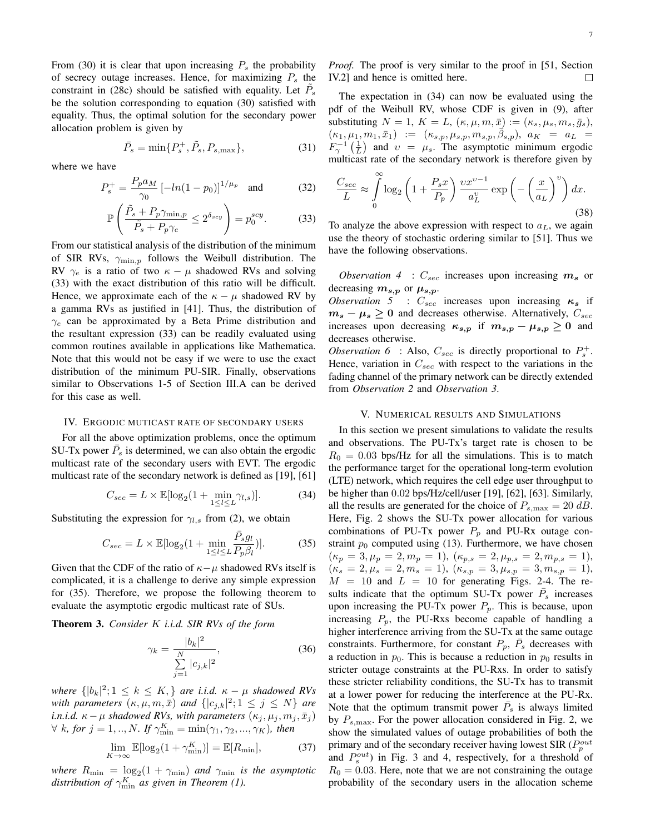From (30) it is clear that upon increasing  $P_s$  the probability of secrecy outage increases. Hence, for maximizing  $P_s$  the constraint in (28c) should be satisfied with equality. Let  $\tilde{P}_s$ be the solution corresponding to equation (30) satisfied with equality. Thus, the optimal solution for the secondary power allocation problem is given by

$$
\bar{P}_s = \min\{P_s^+, \tilde{P}_s, P_{s,\text{max}}\},\tag{31}
$$

where we have

$$
P_s^+ = \frac{P_p a_M}{\gamma_0} \left[ -\ln(1 - p_0) \right]^{1/\mu_p} \text{ and } (32)
$$

$$
\mathbb{P}\left(\frac{\tilde{P}_s + P_p \gamma_{\min, p}}{\tilde{P}_s + P_p \gamma_e} \le 2^{\delta_{scy}}\right) = p_0^{scy}.\tag{33}
$$

From our statistical analysis of the distribution of the minimum of SIR RVs,  $\gamma_{\min,p}$  follows the Weibull distribution. The RV  $\gamma_e$  is a ratio of two  $\kappa - \mu$  shadowed RVs and solving (33) with the exact distribution of this ratio will be difficult. Hence, we approximate each of the  $\kappa - \mu$  shadowed RV by a gamma RVs as justified in [41]. Thus, the distribution of  $\gamma_e$  can be approximated by a Beta Prime distribution and the resultant expression (33) can be readily evaluated using common routines available in applications like Mathematica. Note that this would not be easy if we were to use the exact distribution of the minimum PU-SIR. Finally, observations similar to Observations 1-5 of Section III.A can be derived for this case as well.

#### IV. ERGODIC MUTICAST RATE OF SECONDARY USERS

For all the above optimization problems, once the optimum SU-Tx power  $\bar{P}_s$  is determined, we can also obtain the ergodic multicast rate of the secondary users with EVT. The ergodic multicast rate of the secondary network is defined as [19], [61]

$$
C_{sec} = L \times \mathbb{E}[\log_2(1 + \min_{1 \le l \le L} \gamma_{l,s})]. \tag{34}
$$

Substituting the expression for  $\gamma_{l,s}$  from (2), we obtain

$$
C_{sec} = L \times \mathbb{E}[\log_2(1 + \min_{1 \le l \le L} \frac{\bar{P}_s g_l}{P_p \beta_l})].\tag{35}
$$

Given that the CDF of the ratio of  $\kappa-\mu$  shadowed RVs itself is complicated, it is a challenge to derive any simple expression for (35). Therefore, we propose the following theorem to evaluate the asymptotic ergodic multicast rate of SUs.

Theorem 3. *Consider* K *i.i.d. SIR RVs of the form*

$$
\gamma_k = \frac{|b_k|^2}{\sum_{j=1}^N |c_{j,k}|^2},\tag{36}
$$

 $where \{ |b_k|^2; 1 \leq k \leq K, \}$  *are i.i.d.*  $\kappa - \mu$  *shadowed RVs with parameters*  $(\kappa, \mu, m, \bar{x})$  *and*  $\{|c_{j,k}|^2; 1 \leq j \leq N\}$  *are i.n.i.d.*  $\kappa - \mu$  *shadowed RVs, with parameters*  $(\kappa_j, \mu_j, m_j, \bar{x}_j)$  $\forall k, for j = 1,.., N$ *.* If  $\gamma_{\min}^K = \min(\gamma_1, \gamma_2, ..., \gamma_K)$ *, then* 

$$
\lim_{K \to \infty} \mathbb{E}[\log_2(1 + \gamma_{\min}^K)] = \mathbb{E}[R_{\min}],\tag{37}
$$

*where*  $R_{\min} = \log_2(1 + \gamma_{\min})$  *and*  $\gamma_{\min}$  *is the asymptotic distribution of*  $\gamma_{\min}^K$  *as given in Theorem (1).* 

*Proof.* The proof is very similar to the proof in [51, Section IV.2] and hence is omitted here.

The expectation in (34) can now be evaluated using the pdf of the Weibull RV, whose CDF is given in (9), after substituting  $N = 1$ ,  $K = L$ ,  $(\kappa, \mu, m, \bar{x}) := (\kappa_s, \mu_s, m_s, \bar{g}_s)$ ,  $(\kappa_1, \mu_1, m_1, \bar{x}_1) := (\kappa_{s,p}, \mu_{s,p}, m_{s,p}, \bar{\beta}_{s,p}), \ a_K = a_L =$  $F_{\gamma}^{-1}(\frac{1}{L})$  and  $v = \mu_s$ . The asymptotic minimum ergodic multicast rate of the secondary network is therefore given by

$$
\frac{C_{sec}}{L} \approx \int_{0}^{\infty} \log_2\left(1 + \frac{P_s x}{P_p}\right) \frac{vx^{v-1}}{a_L^v} \exp\left(-\left(\frac{x}{a_L}\right)^v\right) dx.
$$
\n(38)

To analyze the above expression with respect to  $a<sub>L</sub>$ , we again use the theory of stochastic ordering similar to [51]. Thus we have the following observations.

*Observation 4* :  $C_{sec}$  increases upon increasing  $m_s$  or decreasing  $m_{s,p}$  or  $\mu_{s,p}$ .

*Observation 5* :  $C_{sec}$  increases upon increasing  $\kappa_s$  if  $m_s - \mu_s \geq 0$  and decreases otherwise. Alternatively,  $C_{sec}$ increases upon decreasing  $\kappa_{s,p}$  if  $m_{s,p} - \mu_{s,p} \geq 0$  and decreases otherwise.

*Observation 6* : Also,  $C_{sec}$  is directly proportional to  $P_s^+$ . Hence, variation in  $C_{sec}$  with respect to the variations in the fading channel of the primary network can be directly extended from *Observation 2* and *Observation 3*.

#### V. NUMERICAL RESULTS AND SIMULATIONS

In this section we present simulations to validate the results and observations. The PU-Tx's target rate is chosen to be  $R_0 = 0.03$  bps/Hz for all the simulations. This is to match the performance target for the operational long-term evolution (LTE) network, which requires the cell edge user throughput to be higher than 0.02 bps/Hz/cell/user [19], [62], [63]. Similarly, all the results are generated for the choice of  $P_{s,\text{max}} = 20 \text{ dB}$ . Here, Fig. 2 shows the SU-Tx power allocation for various combinations of PU-Tx power  $P_p$  and PU-Rx outage constraint  $p_0$  computed using (13). Furthermore, we have chosen  $(\kappa_p = 3, \mu_p = 2, m_p = 1), (\kappa_{p,s} = 2, \mu_{p,s} = 2, m_{p,s} = 1),$  $(\kappa_s = 2, \mu_s = 2, m_s = 1), (\kappa_{s,p} = 3, \mu_{s,p} = 3, m_{s,p} = 1),$  $M = 10$  and  $L = 10$  for generating Figs. 2-4. The results indicate that the optimum SU-Tx power  $\overline{P}_s$  increases upon increasing the PU-Tx power  $P_p$ . This is because, upon increasing  $P_p$ , the PU-Rxs become capable of handling a higher interference arriving from the SU-Tx at the same outage constraints. Furthermore, for constant  $P_p$ ,  $\overline{P}_s$  decreases with a reduction in  $p_0$ . This is because a reduction in  $p_0$  results in stricter outage constraints at the PU-Rxs. In order to satisfy these stricter reliability conditions, the SU-Tx has to transmit at a lower power for reducing the interference at the PU-Rx. Note that the optimum transmit power  $\bar{P}_s$  is always limited by  $P_{s,\text{max}}$ . For the power allocation considered in Fig. 2, we show the simulated values of outage probabilities of both the primary and of the secondary receiver having lowest SIR ( $P_p^{out}$ ) and  $P_s^{out}$ ) in Fig. 3 and 4, respectively, for a threshold of  $R_0 = 0.03$ . Here, note that we are not constraining the outage probability of the secondary users in the allocation scheme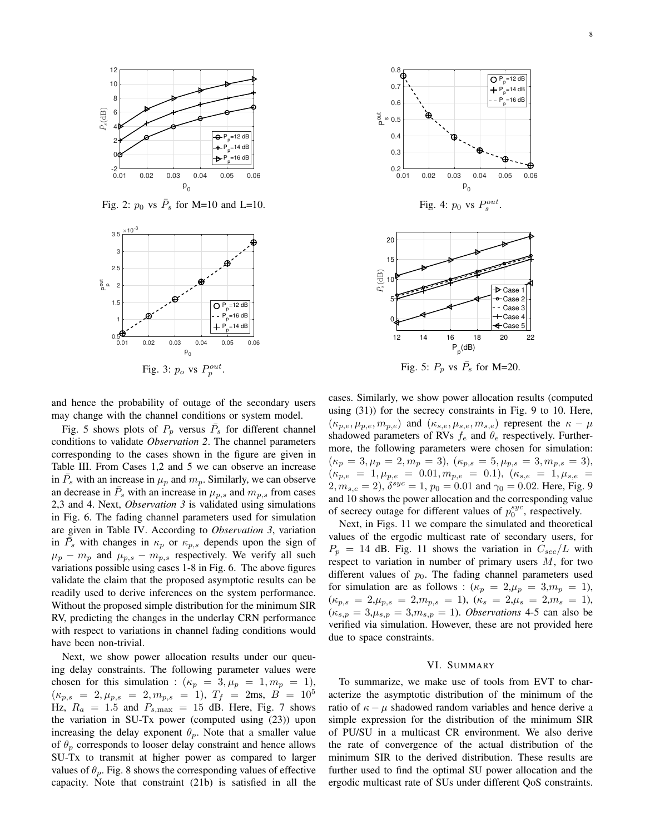

Fig. 2:  $p_0$  vs  $\bar{P}_s$  for M=10 and L=10.



and hence the probability of outage of the secondary users may change with the channel conditions or system model.

Fig. 5 shows plots of  $P_p$  versus  $\overline{P}_s$  for different channel conditions to validate *Observation 2*. The channel parameters corresponding to the cases shown in the figure are given in Table III. From Cases 1,2 and 5 we can observe an increase in  $\bar{P}_s$  with an increase in  $\mu_p$  and  $m_p$ . Similarly, we can observe an decrease in  $\bar{P}_s$  with an increase in  $\mu_{p,s}$  and  $m_{p,s}$  from cases 2,3 and 4. Next, *Observation 3* is validated using simulations in Fig. 6. The fading channel parameters used for simulation are given in Table IV. According to *Observation 3*, variation in  $\overline{P}_s$  with changes in  $\kappa_p$  or  $\kappa_{p,s}$  depends upon the sign of  $\mu_p - m_p$  and  $\mu_{p,s} - m_{p,s}$  respectively. We verify all such variations possible using cases 1-8 in Fig. 6. The above figures validate the claim that the proposed asymptotic results can be readily used to derive inferences on the system performance. Without the proposed simple distribution for the minimum SIR RV, predicting the changes in the underlay CRN performance with respect to variations in channel fading conditions would have been non-trivial.

Next, we show power allocation results under our queuing delay constraints. The following parameter values were chosen for this simulation :  $(\kappa_p = 3, \mu_p = 1, m_p = 1)$ ,  $(\kappa_{p,s} = 2, \mu_{p,s} = 2, m_{p,s} = 1), T_f = 2 \text{ms}, B = 10^5$ Hz,  $R_a = 1.5$  and  $P_{s, \text{max}} = 15$  dB. Here, Fig. 7 shows the variation in SU-Tx power (computed using (23)) upon increasing the delay exponent  $\theta_p$ . Note that a smaller value of  $\theta_p$  corresponds to looser delay constraint and hence allows SU-Tx to transmit at higher power as compared to larger values of  $\theta_p$ . Fig. 8 shows the corresponding values of effective capacity. Note that constraint (21b) is satisfied in all the



cases. Similarly, we show power allocation results (computed using (31)) for the secrecy constraints in Fig. 9 to 10. Here,  $(\kappa_{p,e}, \mu_{p,e}, m_{p,e})$  and  $(\kappa_{s,e}, \mu_{s,e}, m_{s,e})$  represent the  $\kappa - \mu$ shadowed parameters of RVs  $f_e$  and  $\theta_e$  respectively. Furthermore, the following parameters were chosen for simulation:  $(\kappa_p = 3, \mu_p = 2, m_p = 3), (\kappa_{p,s} = 5, \mu_{p,s} = 3, m_{p,s} = 3),$  $(\kappa_{p,e} = 1, \mu_{p,e} = 0.01, m_{p,e} = 0.1), (\kappa_{s,e} = 1, \mu_{s,e} = 1)$  $2, m_{s,e} = 2$ ,  $\delta^{syc} = 1$ ,  $p_0 = 0.01$  and  $\gamma_0 = 0.02$ . Here, Fig. 9 and 10 shows the power allocation and the corresponding value of secrecy outage for different values of  $p_0^{syc}$ , respectively.

Next, in Figs. 11 we compare the simulated and theoretical values of the ergodic multicast rate of secondary users, for  $P_p = 14$  dB. Fig. 11 shows the variation in  $C_{sec}/L$  with respect to variation in number of primary users  $M$ , for two different values of  $p_0$ . The fading channel parameters used for simulation are as follows :  $(\kappa_p = 2, \mu_p = 3, m_p = 1)$ ,  $(\kappa_{p,s} = 2, \mu_{p,s} = 2, m_{p,s} = 1), (\kappa_s = 2, \mu_s = 2, m_s = 1),$  $(\kappa_{s,p} = 3, \mu_{s,p} = 3, m_{s,p} = 1)$ . *Observations* 4-5 can also be verified via simulation. However, these are not provided here due to space constraints.

## VI. SUMMARY

To summarize, we make use of tools from EVT to characterize the asymptotic distribution of the minimum of the ratio of  $\kappa - \mu$  shadowed random variables and hence derive a simple expression for the distribution of the minimum SIR of PU/SU in a multicast CR environment. We also derive the rate of convergence of the actual distribution of the minimum SIR to the derived distribution. These results are further used to find the optimal SU power allocation and the ergodic multicast rate of SUs under different QoS constraints.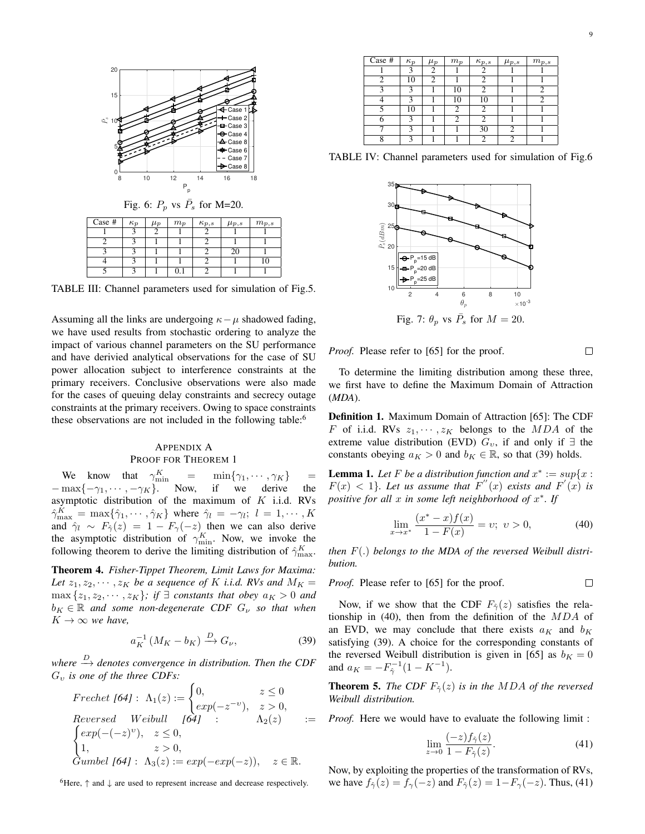

TABLE III: Channel parameters used for simulation of Fig.5.

Assuming all the links are undergoing  $\kappa - \mu$  shadowed fading, we have used results from stochastic ordering to analyze the impact of various channel parameters on the SU performance and have derivied analytical observations for the case of SU power allocation subject to interference constraints at the primary receivers. Conclusive observations were also made for the cases of queuing delay constraints and secrecy outage constraints at the primary receivers. Owing to space constraints these observations are not included in the following table:<sup>6</sup>

## APPENDIX A PROOF FOR THEOREM 1

We know that  $\gamma_{m}^{K}$  $\lim_{n \to \infty}$  =  $\min{\{\gamma_1, \cdots, \gamma_K\}}$ <br>Now, if we derive  $-\max\{-\gamma_1, \cdots, -\gamma_K\}$ . Now, if we derive the asymptotic distribution of the maximum of  $K$  i.i.d. RVs  $\hat{\gamma}_{\max}^K = \max\{\hat{\gamma}_1, \cdots, \hat{\gamma}_K\}$  where  $\hat{\gamma}_l = -\gamma_l; \ l = 1, \cdots, K$ and  $\hat{\gamma}_l \sim F_{\hat{\gamma}}(z) = 1 - F_{\gamma}(-z)$  then we can also derive the asymptotic distribution of  $\gamma_{\min}^K$ . Now, we invoke the following theorem to derive the limiting distribution of  $\hat{\gamma}_{\max}^K$ .

Theorem 4. *Fisher-Tippet Theorem, Limit Laws for Maxima:* Let  $z_1, z_2, \cdots, z_K$  be a sequence of K *i.i.d.* RVs and  $M_K =$  $\max\{z_1, z_2, \cdots, z_K\}$ ; if  $\exists$  *constants that obey*  $a_K > 0$  *and*  $b_K \in \mathbb{R}$  *and some non-degenerate CDF*  $G_{\nu}$  *so that when*  $K \to \infty$  we have,

$$
a_K^{-1} \left( M_K - b_K \right) \xrightarrow{D} G_\nu,\tag{39}
$$

where  $\stackrel{D}{\rightarrow}$  denotes convergence in distribution. Then the CDF G<sup>υ</sup> *is one of the three CDFs:*

Frechet [64]: 
$$
\Lambda_1(z) := \begin{cases} 0, & z \le 0 \\ exp(-z^{-v}), & z > 0, \end{cases}
$$
  
Reversed Weibull [64]:  $\Lambda_2(z) := \begin{cases} exp(-(-z)^v), & z \le 0, \\ 1, & z > 0, \end{cases}$   
Gumbel [64]:  $\Lambda_3(z) := exp(-exp(-z)), \quad z \in \mathbb{R}$ .

 ${}^{6}$ Here,  $\uparrow$  and  $\downarrow$  are used to represent increase and decrease respectively.

| Case #        | $\kappa_p$              | $\mu_p$ | $m_p$ | $\kappa_{p,s}$ | $\mu_{p,s}$ | $m_{p,s}$ |
|---------------|-------------------------|---------|-------|----------------|-------------|-----------|
|               | $\mathbf{a}$            | 2       |       |                |             |           |
| 2             | 10                      |         |       |                |             |           |
| $\mathcal{R}$ | $\mathbf{R}$            |         | 10    |                |             |           |
|               | 2                       |         | 10    | 10             |             |           |
|               | 10                      |         | っ     |                |             |           |
| 6             |                         |         |       |                |             |           |
|               | 2                       |         |       | 30             |             |           |
| 8             | $\overline{\mathbf{c}}$ |         |       |                |             |           |

TABLE IV: Channel parameters used for simulation of Fig.6



*Proof.* Please refer to [65] for the proof.

To determine the limiting distribution among these three, we first have to define the Maximum Domain of Attraction (*MDA*).

Definition 1. Maximum Domain of Attraction [65]: The CDF F of i.i.d. RVs  $z_1, \dots, z_K$  belongs to the MDA of the extreme value distribution (EVD)  $G_v$ , if and only if  $\exists$  the constants obeying  $a_K > 0$  and  $b_K \in \mathbb{R}$ , so that (39) holds.

**Lemma 1.** Let F be a distribution function and  $x^* := sup\{x : y\}$  $F(x) < 1$ *}. Let us assume that*  $F''(x)$  *exists and*  $F'(x)$  *is positive for all* x *in some left neighborhood of* x ∗ *. If*

$$
\lim_{x \to x^*} \frac{(x^* - x)f(x)}{1 - F(x)} = v; \ v > 0,
$$
\n(40)

*then* F(.) *belongs to the MDA of the reversed Weibull distribution.*

*Proof.* Please refer to [65] for the proof.  $\Box$ 

Now, if we show that the CDF  $F_{\hat{\gamma}}(z)$  satisfies the relationship in (40), then from the definition of the  $MDA$  of an EVD, we may conclude that there exists  $a_K$  and  $b_K$ satisfying (39). A choice for the corresponding constants of the reversed Weibull distribution is given in [65] as  $b_K = 0$ and  $a_K = -F_{\hat{\gamma}}^{-1}(1 - K^{-1}).$ 

**Theorem 5.** *The CDF*  $F_{\hat{\gamma}}(z)$  *is in the MDA of the reversed Weibull distribution.*

*Proof.* Here we would have to evaluate the following limit :

$$
\lim_{z \to 0} \frac{(-z) f_{\hat{\gamma}}(z)}{1 - F_{\hat{\gamma}}(z)}.
$$
\n(41)

Now, by exploiting the properties of the transformation of RVs, we have  $f_{\hat{\gamma}}(z) = f_{\gamma}(-z)$  and  $F_{\hat{\gamma}}(z) = 1 - F_{\gamma}(-z)$ . Thus, (41)

 $\Box$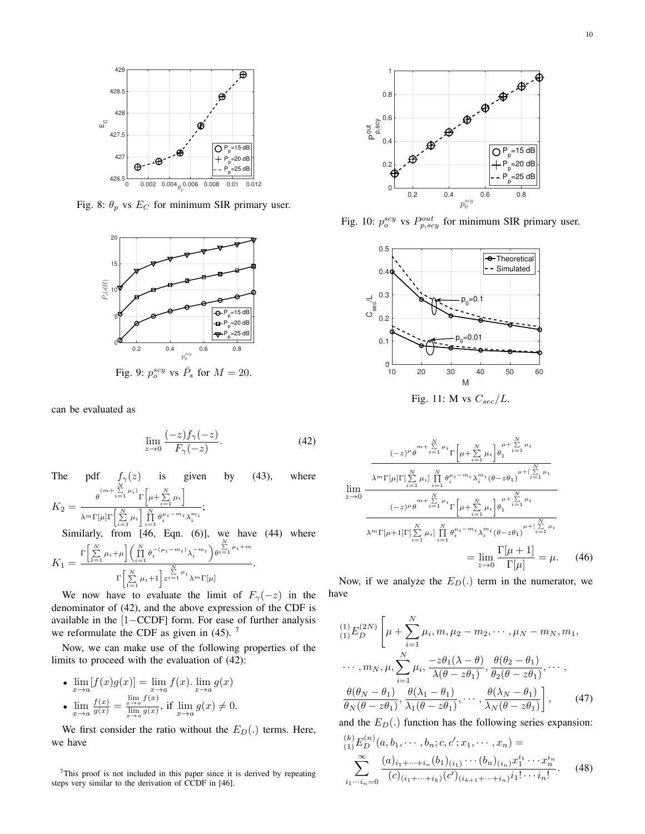

Fig. 8:  $\theta_p$  vs  $E_C$  for minimum SIR primary user.



can be evaluated as

$$
\lim_{z \to 0} \frac{(-z) f_\gamma(-z)}{F_\gamma(-z)}.
$$
\n(42)

The pdf 
$$
f_{\gamma}(z)
$$
 is given by (43), where  
\n
$$
K_2 = \frac{\theta^{(m+\sum\limits_{i=1}^{N}\mu_i)}\Gamma\left[\mu + \sum\limits_{i=1}^{N}\mu_i\right]}{\lambda^m \Gamma[\mu] \Gamma\left[\sum\limits_{i=1}^{N}\mu_i\right] \prod\limits_{i=1}^{N}\theta_i^{\mu_i - m_i} \lambda_i^{m_i}};
$$
\nSimilarly, from [46, Eqn. (6)], we have (44) where  
\n
$$
K_1 = \frac{\Gamma\left[\sum\limits_{i=1}^{N}\mu_i + \mu\right] \left(\prod\limits_{i=1}^{N}\theta_i^{-(\mu_i - m_i)} \lambda_i^{-m_i}\right) \theta^{\sum\limits_{i=1}^{N}\mu_i + m}}{\Gamma\left[\sum\limits_{i=1}^{N}\mu_i + 1\right] z^{\sum\limits_{i=1}^{N}\mu_i} \lambda^m \Gamma[\mu]}.
$$

We now have to evaluate the limit of  $F_{\gamma}(-z)$  in the denominator of (42), and the above expression of the CDF is available in the [1−CCDF] form. For ease of further analysis we reformulate the CDF as given in  $(45)$ . <sup>7</sup>

Now, we can make use of the following properties of the limits to proceed with the evaluation of (42):

\n- \n
$$
\lim_{x \to a} [f(x)g(x)] = \lim_{x \to a} f(x) \cdot \lim_{x \to a} g(x)
$$
\n
\n- \n
$$
\lim_{x \to a} \frac{f(x)}{g(x)} = \frac{\lim_{x \to a} f(x)}{\lim_{x \to a} g(x)}
$$
\n if\n  $\lim_{x \to a} g(x) \neq 0$ \n
\n

We first consider the ratio without the  $E_D(.)$  terms. Here, we have

<sup>7</sup>This proof is not included in this paper since it is derived by repeating steps very similar to the derivation of CCDF in [46].



Fig. 10:  $p_o^{scy}$  vs  $P_{p,scy}^{out}$  for minimum SIR primary user.



Fig. 11: M vs  $C_{sec}/L$ .

$$
\lim_{z \to 0} \frac{(-z)^{\mu} \theta^{m + \sum\limits_{i=1}^{N} \mu_{i}} \Gamma\left[\mu + \sum\limits_{i=1}^{N} \mu_{i}\right] \theta_{1}^{\mu + \sum\limits_{i=1}^{N} \mu_{i}}}{\lambda^{m} \Gamma[\mu] \Gamma\left[\sum\limits_{i=1}^{N} \mu_{i}\right] \prod\limits_{i=1}^{N} \theta_{i}^{\mu_{i} - m_{i}} \lambda_{i}^{m_{i}} (\theta - z\theta_{1})^{\mu + \left[\sum\limits_{i=1}^{N} \mu_{i}\right]} \frac{1}{\theta - 1}} \frac{(\lambda^{m} \Gamma\left[\mu\right] \Gamma\left[\sum\limits_{i=1}^{N} \mu_{i}\right] \prod\limits_{i=1}^{N} \theta_{i}^{\mu_{i} - m_{i}} \lambda_{i}^{m_{i}} (\theta - z\theta_{1})^{\mu + \left[\sum\limits_{i=1}^{N} \mu_{i}\right]} \lambda^{m} \Gamma\left[\mu + 1\right] \Gamma\left[\sum\limits_{i=1}^{N} \mu_{i}\right] \prod\limits_{i=1}^{N} \theta_{i}^{\mu_{i} - m_{i}} \lambda_{i}^{m_{i}} (\theta - z\theta_{1})^{\mu + \left[\sum\limits_{i=1}^{N} \mu_{i}\right]} \frac{1}{\Gamma\left[\mu\right]} = \mu. \tag{46}
$$

Now, if we analyze the  $E_D(.)$  term in the numerator, we have

$$
\begin{aligned}\n\binom{1}{1} E_D^{(2N)} \left[ \mu + \sum_{i=1}^N \mu_i, m, \mu_2 - m_2, \cdots, \mu_N - m_N, m_1, \right. \\
\cdots, m_N, \mu, \sum_{i=1}^N \mu_i, \frac{-z\theta_1(\lambda - \theta)}{\lambda(\theta - z\theta_1)}, \frac{\theta(\theta_2 - \theta_1)}{\theta_2(\theta - z\theta_1)}, \cdots, \\
\frac{\theta(\theta_N - \theta_1)}{\theta_N(\theta - z\theta_1)}, \frac{\theta(\lambda_1 - \theta_1)}{\lambda_1(\theta - z\theta_1)}, \cdots, \frac{\theta(\lambda_N - \theta_1)}{\lambda_N(\theta - z\theta_1)} \right],\n\end{aligned} \tag{47}
$$

and the  $E_D(.)$  function has the following series expansion:

$$
\sum_{(1)}^{(k)} E_D^{(n)}(a, b_1, \cdots, b_n; c, c'; x_1, \cdots, x_n) =
$$
\n
$$
\sum_{i_1 \cdots i_n = 0}^{\infty} \frac{(a)_{i_1 + \cdots + i_n} (b_1)_{(i_1)} \cdots (b_n)_{(i_n)} x_1^{i_1} \cdots x_n^{i_n}}{(c)_{(i_1 + \cdots + i_n)} (c')_{(i_{k+1} + \cdots + i_n)} i_1! \cdots i_n!}.
$$
\n(48)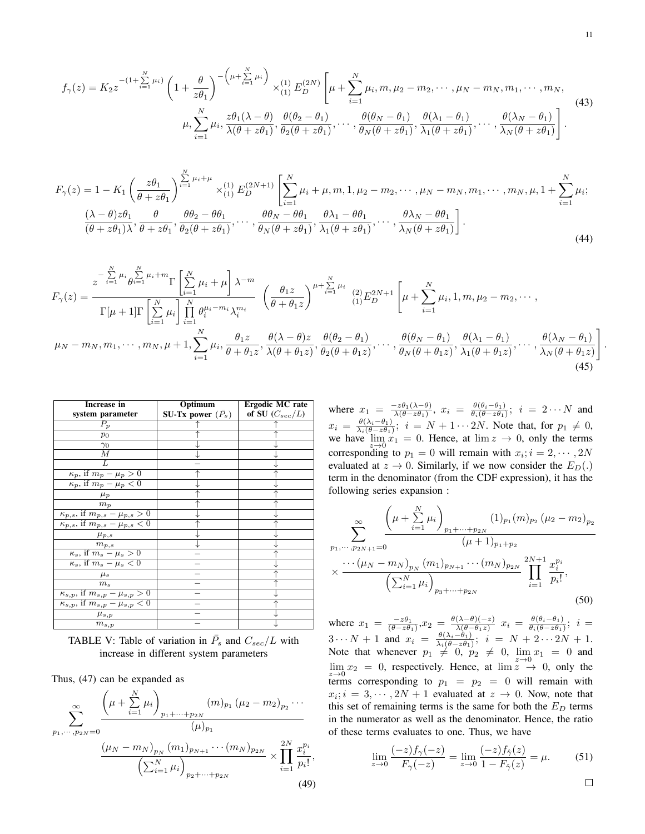$$
f_{\gamma}(z) = K_2 z^{-\left(1 + \sum\limits_{i=1}^{N} \mu_i\right)} \left(1 + \frac{\theta}{z\theta_1}\right)^{-\left(\mu + \sum\limits_{i=1}^{N} \mu_i\right)} \times_{(1)}^{(1)} E_D^{(2N)} \left[\mu + \sum\limits_{i=1}^{N} \mu_i, m, \mu_2 - m_2, \cdots, \mu_N - m_N, m_1, \cdots, m_N, \mu_1 - m_1, \mu_2 - m_2, \cdots, \mu_N - m_N, m_1 - m_N, m_1 - m_N, m_N\right] \tag{43}
$$
\n
$$
\mu, \sum_{i=1}^{N} \mu_i, \frac{z\theta_1(\lambda - \theta)}{\lambda(\theta + z\theta_1)}, \frac{\theta(\theta_2 - \theta_1)}{\theta_2(\theta + z\theta_1)}, \cdots, \frac{\theta(\theta_N - \theta_1)}{\theta_N(\theta + z\theta_1)}, \frac{\theta(\lambda_1 - \theta_1)}{\lambda_1(\theta + z\theta_1)}, \cdots, \frac{\theta(\lambda_N - \theta_1)}{\lambda_N(\theta + z\theta_1)}\right].
$$

$$
F_{\gamma}(z) = 1 - K_1 \left(\frac{z\theta_1}{\theta + z\theta_1}\right)^{\sum_{i=1}^{N} \mu_i + \mu} \times_{(1)}^{(1)} E_D^{(2N+1)} \left[\sum_{i=1}^{N} \mu_i + \mu, m, 1, \mu_2 - m_2, \cdots, \mu_N - m_N, m_1, \cdots, m_N, \mu, 1 + \sum_{i=1}^{N} \mu_i; \frac{(\lambda - \theta)z\theta_1}{(\theta + z\theta_1)^{\lambda}}, \frac{\theta}{\theta + z\theta_1}, \frac{\theta\theta_2 - \theta\theta_1}{\theta_2(\theta + z\theta_1)}, \cdots, \frac{\theta\theta_N - \theta\theta_1}{\theta_N(\theta + z\theta_1)}, \cdots, \frac{\theta\lambda_N - \theta\theta_1}{\lambda_N(\theta + z\theta_1)}\right].
$$
\n(44)

$$
F_{\gamma}(z) = \frac{z^{-\sum\limits_{i=1}^{N}\mu_{i}}\theta^{\sum\limits_{i=1}^{N}\mu_{i}+m}\Gamma\left[\sum\limits_{i=1}^{N}\mu_{i}+\mu\right]\lambda^{-m}}{\Gamma[\mu+1]\Gamma\left[\sum\limits_{i=1}^{N}\mu_{i}\right]\prod\limits_{i=1}^{N}\theta^{\mu_{i}-m_{i}}_{i}\lambda^{\sum\limits_{i=1}^{m_{i}}}\left(\frac{\theta_{1}z}{\theta+\theta_{1}z}\right)^{\mu+\sum\limits_{i=1}^{N}\mu_{i}}\frac{(2)E_{D}^{2N+1}}{(1)E_{D}^{2N+1}}\left[\mu+\sum\limits_{i=1}^{N}\mu_{i},1,m,\mu_{2}-m_{2},\cdots,1\right]
$$

$$
\mu_{N}-m_{N},m_{1},\cdots,m_{N},\mu+1,\sum\limits_{i=1}^{N}\mu_{i},\frac{\theta_{1}z}{\theta+\theta_{1}z},\frac{\theta(\lambda-\theta)z}{\lambda(\theta+\theta_{1}z)},\frac{\theta(\theta_{2}-\theta_{1})}{\theta_{2}(\theta+\theta_{1}z)},\cdots,\frac{\theta(\theta_{N}-\theta_{1})}{\theta_{N}(\theta+\theta_{1}z)},\frac{\theta(\lambda_{1}-\theta_{1})}{\lambda_{1}(\theta+\theta_{1}z)},\cdots,\frac{\theta(\lambda_{N}-\theta_{1})}{\lambda_{N}(\theta+\theta_{1}z)}\right]
$$
(45)

| Increase in                                                   | Optimum             | Ergodic MC rate     |  |  |
|---------------------------------------------------------------|---------------------|---------------------|--|--|
| system parameter                                              | SU-Tx power $(P_s)$ | of SU $(C_{sec}/L)$ |  |  |
| $P_n$                                                         |                     |                     |  |  |
| $p_0$                                                         |                     |                     |  |  |
| $\gamma_0$                                                    |                     |                     |  |  |
| М                                                             |                     |                     |  |  |
| L                                                             |                     |                     |  |  |
| $\overline{\kappa_p, \text{ if } m_p - \mu_p} > 0$            |                     |                     |  |  |
| $\overline{\kappa_p}$ , if $m_p - \mu_p < 0$                  |                     |                     |  |  |
| $\mu_{p}$                                                     |                     |                     |  |  |
| $m_p$                                                         |                     |                     |  |  |
| $\kappa_{p,s}, \text{ if } m_{p,s} - \mu_{p,s} > 0$           |                     |                     |  |  |
| $\overline{\kappa_{p,s},$ if $m_{p,s}-\mu_{p,s}}<0$           |                     |                     |  |  |
| $\mu_{p,s}$                                                   |                     |                     |  |  |
| $m_{p,\,s}$                                                   |                     |                     |  |  |
| $\kappa_s$ , if $m_s - \mu_s > 0$                             |                     |                     |  |  |
| $\kappa_s$ , if $m_s - \mu_s < 0$                             |                     |                     |  |  |
| $\mu_s$                                                       |                     |                     |  |  |
| m <sub>s</sub>                                                |                     |                     |  |  |
| $\overline{\kappa_{s,p}, \text{if } m_{s,p} - \mu_{s,p}} > 0$ |                     |                     |  |  |
| $\overline{\kappa_{s,p}}$ , if $m_{s,p}-\mu_{s,p}<0$          |                     |                     |  |  |
| $\mu_{s,p}$                                                   |                     |                     |  |  |
| $m_{s,p}$                                                     |                     |                     |  |  |

TABLE V: Table of variation in  $\overline{P}_s$  and  $C_{sec}/L$  with increase in different system parameters

Thus, (47) can be expanded as

$$
\sum_{p_1,\dots,p_{2N}=0}^{\infty} \frac{\left(\mu + \sum_{i=1}^{N} \mu_i\right)_{p_1 + \dots + p_{2N}} (m)_{p_1} (\mu_2 - m_2)_{p_2} \dots}{(\mu)_{p_1}} \cdot \frac{\left(\mu_N - m_N\right)_{p_N} (m_1)_{p_{N+1}} \dots (m_N)_{p_{2N}}}{\left(\sum_{i=1}^{N} \mu_i\right)_{p_2 + \dots + p_{2N}}} \times \prod_{i=1}^{2N} \frac{x_i^{p_i}}{p_i!},\tag{49}
$$

where  $x_1 = \frac{-z\theta_1(\lambda-\theta)}{\lambda(\theta-z\theta_1)}$  $\frac{-z\theta_1(\lambda-\theta)}{\lambda(\theta-z\theta_1)}, \; x_i \; = \; \frac{\theta(\theta_i-\theta_1)}{\theta_i(\theta-z\theta_1)}$  $\frac{\theta(\theta_i - \theta_1)}{\theta_i(\theta - z\theta_1)}$ ;  $i = 2 \cdots N$  and  $x_i = \frac{\theta(\lambda_i-\theta_1)}{\lambda_i(\theta-z\theta_1)}$  $\frac{\theta(\lambda_i - \theta_1)}{\lambda_i(\theta - z\theta_1)}$ ;  $i = N + 1 \cdots 2N$ . Note that, for  $p_1 \neq 0$ , we have  $\lim_{z\to 0} x_1 = 0$ . Hence, at  $\lim z \to 0$ , only the terms corresponding to  $p_1 = 0$  will remain with  $x_i$ ;  $i = 2, \dots, 2N$ evaluated at  $z \to 0$ . Similarly, if we now consider the  $E_D(.)$ term in the denominator (from the CDF expression), it has the following series expansion :

$$
\sum_{p_1,\dots,p_{2N+1}=0}^{\infty} \frac{\left(\mu + \sum_{i=1}^{N} \mu_i\right)_{p_1 + \dots + p_{2N}} (1)_{p_1} (m)_{p_2} (\mu_2 - m_2)_{p_2}}{(\mu + 1)_{p_1 + p_2}} \\ \times \frac{\cdots (\mu_N - m_N)_{p_N} (m_1)_{p_{N+1}} \cdots (m_N)_{p_{2N}}}{\left(\sum_{i=1}^{N} \mu_i\right)_{p_3 + \dots + p_{2N}}} \prod_{i=1}^{2N+1} \frac{x_i^{p_i}}{p_i!},
$$
\n(50)

where  $x_1 = \frac{-z\theta_1}{(\theta - z\theta_1)}, x_2 = \frac{\theta(\lambda - \theta)(-z)}{\lambda(\theta - \theta_1 z)}$  $\frac{(\lambda-\theta)(-z)}{\lambda(\theta-\theta_1z)}\,\,x_i\,=\,\frac{\theta(\theta_i-\theta_1)}{\theta_i(\theta-z\theta_1)}$  $\frac{\theta(\theta_i-\theta_1)}{\theta_i(\theta-z\theta_1)}$ ;  $i=$  $3 \cdots N + 1$  and  $x_i = \frac{\theta(\lambda_i - \theta_1)}{\lambda_i(\theta - z\theta_1)}$  $\frac{\theta(\lambda_i-\theta_1)}{\lambda_i(\theta-z\theta_1)};~~i= N+2\cdots 2N+1.$ Note that whenever  $p_1 \neq 0$ ,  $p_2 \neq 0$ ,  $\lim_{z \to 0} x_1 = 0$  and  $\lim_{z\to 0} x_2 = 0$ , respectively. Hence, at  $\lim_{z\to 0} z \to 0$ , only the terms corresponding to  $p_1 = p_2 = 0$  will remain with  $x_i$ ;  $i = 3, \dots, 2N + 1$  evaluated at  $z \to 0$ . Now, note that this set of remaining terms is the same for both the  $E_D$  terms in the numerator as well as the denominator. Hence, the ratio of these terms evaluates to one. Thus, we have

$$
\lim_{z \to 0} \frac{(-z) f_\gamma(-z)}{F_\gamma(-z)} = \lim_{z \to 0} \frac{(-z) f_{\hat{\gamma}}(z)}{1 - F_{\hat{\gamma}}(z)} = \mu.
$$
 (51)

.

 $\Box$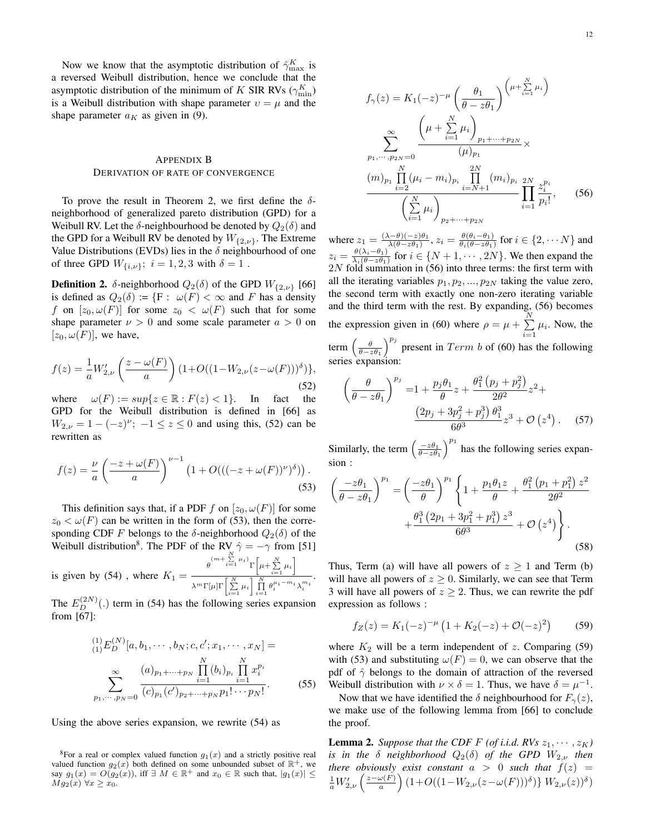Now we know that the asymptotic distribution of  $\hat{\gamma}_{\max}^K$  is a reversed Weibull distribution, hence we conclude that the asymptotic distribution of the minimum of K SIR RVs ( $\gamma_{\rm min}^K$ ) is a Weibull distribution with shape parameter  $v = \mu$  and the shape parameter  $a_K$  as given in (9).

## APPENDIX B DERIVATION OF RATE OF CONVERGENCE

To prove the result in Theorem 2, we first define the  $\delta$ neighborhood of generalized pareto distribution (GPD) for a Weibull RV. Let the  $\delta$ -neighbourhood be denoted by  $Q_2(\delta)$  and the GPD for a Weibull RV be denoted by  $W_{\{2,\nu\}}$ . The Extreme Value Distributions (EVDs) lies in the  $\delta$  neighbourhood of one of three GPD  $W_{\{i,\nu\}}$ ;  $i = 1, 2, 3$  with  $\delta = 1$ .

**Definition 2.** δ-neighborhood  $Q_2(\delta)$  of the GPD  $W_{\{2,\nu\}}$  [66] is defined as  $Q_2(\delta) := \{F : \omega(F) < \infty \text{ and } F \text{ has a density}\}$ f on  $[z_0, \omega(F)]$  for some  $z_0 < \omega(F)$  such that for some shape parameter  $\nu > 0$  and some scale parameter  $a > 0$  on  $[z_0, \omega(F)]$ , we have,

$$
f(z) = \frac{1}{a} W'_{2,\nu} \left( \frac{z - \omega(F)}{a} \right) (1 + O((1 - W_{2,\nu}(z - \omega(F)))^{\delta}) \},\tag{52}
$$

where  $\omega(F) := \sup\{z \in \mathbb{R} : F(z) < 1\}.$  In fact the GPD for the Weibull distribution is defined in [66] as  $W_{2,\nu} = 1 - (-z)^{\nu}; -1 \le z \le 0$  and using this, (52) can be rewritten as

$$
f(z) = \frac{\nu}{a} \left( \frac{-z + \omega(F)}{a} \right)^{\nu - 1} \left( 1 + O(((-z + \omega(F))^{\nu})^{\delta}) \right).
$$
\n(53)

This definition says that, if a PDF f on  $[z_0, \omega(F)]$  for some  $z_0 < \omega(F)$  can be written in the form of (53), then the corresponding CDF F belongs to the  $\delta$ -neighborhood  $Q_2(\delta)$  of the Weibull distribution<sup>8</sup>. The PDF of the RV  $\hat{\gamma} = -\gamma$  from [51] is given by (54), where  $K_1 = \frac{\theta^{(m + \sum_{i=1}^{N} \mu_i)} \Gamma\left[\mu + \sum_{i=1}^{N} \mu_i\right]}{\Gamma N - \Gamma N}$  $\lambda^m \Gamma[\mu] \Gamma\left[\sum\limits_{i=1}^N \mu_i\right] \prod\limits_{i=1}^N \theta_i^{\mu_i-m_i} \lambda_i^{m_i}$ .

The  $E_D^{(2N)}(.)$  term in (54) has the following series expansion from [67]:

$$
\sum_{(1)}^{(1)} E_D^{(N)}[a, b_1, \cdots, b_N; c, c'; x_1, \cdots, x_N] =
$$
\n
$$
\sum_{p_1, \cdots, p_N=0}^{(1)} \frac{(a)_{p_1 + \cdots + p_N} \prod_{i=1}^N (b_i)_{p_i} \prod_{i=1}^N x_i^{p_i}}{(c)_{p_1}(c')_{p_2 + \cdots + p_N} p_1! \cdots p_N!}.
$$
\n(55)

Using the above series expansion, we rewrite (54) as

$$
f_{\gamma}(z) = K_1(-z)^{-\mu} \left(\frac{\theta_1}{\theta - z\theta_1}\right)^{\left(\mu + \sum_{i=1}^{N} \mu_i\right)}
$$

$$
\sum_{p_1, \dots, p_{2N} = 0}^{\infty} \frac{\left(\mu + \sum_{i=1}^{N} \mu_i\right)_{p_1 + \dots + p_{2N}}}{(\mu)_{p_1}} \times
$$

$$
\frac{(m)_{p_1} \prod_{i=2}^{N} (\mu_i - m_i)_{p_i} \prod_{i=N+1}^{2N} (m_i)_{p_i} \sum_{i=1}^{2N} z_i^{p_i}}{\left(\sum_{i=1}^{N} \mu_i\right)_{p_2 + \dots + p_{2N}}} (56)
$$

where  $z_1 = \frac{(\lambda - \theta)(-z)\theta_1}{\lambda(\theta - z\theta_1)}$  $\frac{\lambda(-\theta)(-z)\theta_1}{\lambda(\theta-z\theta_1)}, z_i = \frac{\theta(\theta_i-\theta_1)}{\theta_i(\theta-z\theta_1)}$  $\frac{\theta(\theta_i-\theta_1)}{\theta_i(\theta-z\theta_1)}$  for  $i \in \{2, \dots N\}$  and  $z_i = \frac{\theta(\lambda_i-\theta_1)}{\lambda_i(\theta-z\theta_1)}$  $\frac{\theta(\lambda_i - \theta_1)}{\lambda_i(\theta - z\theta_1)}$  for  $i \in \{N+1, \dots, 2N\}$ . We then expand the  $2N$  fold summation in (56) into three terms: the first term with all the iterating variables  $p_1, p_2, ..., p_{2N}$  taking the value zero, the second term with exactly one non-zero iterating variable and the third term with the rest. By expanding,  $(56)$  becomes the expression given in (60) where  $\rho = \mu + \sum_{n=1}^{N}$  $\sum_{i=1}$   $\mu_i$ . Now, the term  $\left(\frac{\theta}{\theta-z\theta_1}\right)^{p_j}$  present in  $Term\ b$  of (60) has the following series expansion:

$$
\left(\frac{\theta}{\theta - z\theta_1}\right)^{p_j} = 1 + \frac{p_j \theta_1}{\theta} z + \frac{\theta_1^2 (p_j + p_j^2)}{2\theta^2} z^2 + \frac{(2p_j + 3p_j^2 + p_j^3)\theta_1^3}{6\theta^3} z^3 + \mathcal{O}\left(z^4\right). \tag{57}
$$

Similarly, the term  $\left(\frac{-z\theta_1}{\theta-z\theta_1}\right)^{p_1}$  has the following series expansion :

$$
\left(\frac{-z\theta_1}{\theta - z\theta_1}\right)^{p_1} = \left(\frac{-z\theta_1}{\theta}\right)^{p_1} \left\{1 + \frac{p_1\theta_1 z}{\theta} + \frac{\theta_1^2 (p_1 + p_1^2) z^2}{2\theta^2} + \frac{\theta_1^3 (2p_1 + 3p_1^2 + p_1^3) z^3}{6\theta^3} + \mathcal{O}\left(z^4\right)\right\}.
$$
\n(58)

Thus, Term (a) will have all powers of  $z \ge 1$  and Term (b) will have all powers of  $z \geq 0$ . Similarly, we can see that Term 3 will have all powers of  $z \geq 2$ . Thus, we can rewrite the pdf expression as follows :

$$
f_Z(z) = K_1(-z)^{-\mu} \left( 1 + K_2(-z) + \mathcal{O}(-z)^2 \right) \tag{59}
$$

where  $K_2$  will be a term independent of z. Comparing (59) with (53) and substituting  $\omega(F) = 0$ , we can observe that the pdf of  $\hat{\gamma}$  belongs to the domain of attraction of the reversed Weibull distribution with  $\nu \times \delta = 1$ . Thus, we have  $\delta = \mu^{-1}$ .

Now that we have identified the  $\delta$  neighbourhood for  $F_{\gamma}(z)$ , we make use of the following lemma from [66] to conclude the proof.

**Lemma 2.** Suppose that the CDF F (of i.i.d. RVs  $z_1, \dots, z_K$ ) *is in the*  $\delta$  *neighborhood*  $Q_2(\delta)$  *of the GPD*  $W_{2,\nu}$  *then there obviously exist constant*  $a > 0$  *such that*  $f(z) =$  $\frac{1}{a}W'_{2,\nu}\left(\frac{z-\omega(F)}{a}\right)$  $\left(\frac{\omega(F)}{a}\right) \left(1+O((1-W_{2,\nu}(z-\omega(F)))^{\delta}\right) \} W_{2,\nu}(z))^{\delta})$ 

<sup>&</sup>lt;sup>8</sup>For a real or complex valued function  $g_1(x)$  and a strictly positive real valued function  $g_2(x)$  both defined on some unbounded subset of  $\mathbb{R}^+$ , we say  $g_1(x) = O(g_2(x))$ , iff  $\exists M \in \mathbb{R}^+$  and  $x_0 \in \mathbb{R}$  such that,  $|g_1(x)| \le$  $M g_2(x) \,\forall x \geq x_0.$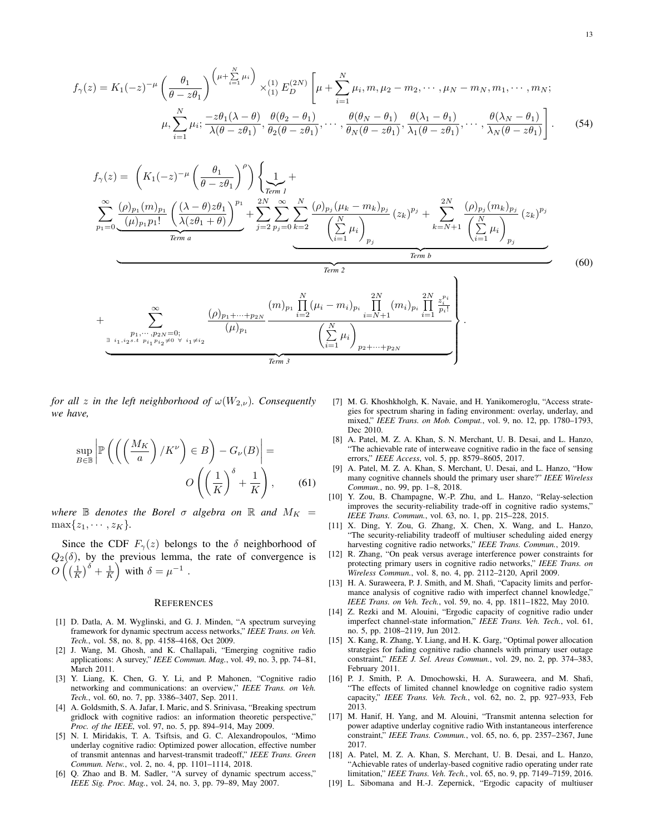$$
f_{\gamma}(z) = K_1(-z)^{-\mu} \left(\frac{\theta_1}{\theta - z\theta_1}\right)^{\left(\mu + \sum\limits_{i=1}^{N} \mu_i\right)} \times_{(1)}^{(1)} E_D^{(2N)} \left[\mu + \sum\limits_{i=1}^{N} \mu_i, m, \mu_2 - m_2, \cdots, \mu_N - m_N, m_1, \cdots, m_N; \mu_1, \cdots, \mu_N\right]
$$

$$
\mu, \sum_{i=1}^{N} \mu_i; \frac{-z\theta_1(\lambda - \theta)}{\lambda(\theta - z\theta_1)}, \frac{\theta(\theta_2 - \theta_1)}{\theta_2(\theta - z\theta_1)}, \cdots, \frac{\theta(\theta_N - \theta_1)}{\theta_N(\theta - z\theta_1)}, \frac{\theta(\lambda_1 - \theta_1)}{\lambda_1(\theta - z\theta_1)}, \cdots, \frac{\theta(\lambda_N - \theta_1)}{\lambda_N(\theta - z\theta_1)}\right].
$$
(54)



*for all z in the left neighborhood of*  $\omega(W_{2,\nu})$ *. Consequently we have,*

$$
\sup_{B \in \mathbb{B}} \left| \mathbb{P}\left( \left( \left( \frac{M_K}{a} \right) / K^\nu \right) \in B \right) - G_\nu(B) \right| = O\left( \left( \frac{1}{K} \right)^{\delta} + \frac{1}{K} \right), \quad (61)
$$

*where*  $\mathbb B$  *denotes the Borel*  $\sigma$  *algebra on*  $\mathbb R$  *and*  $M_K =$  $\max\{z_1, \cdots, z_K\}.$ 

Since the CDF  $F_{\gamma}(z)$  belongs to the  $\delta$  neighborhood of  $Q_2(\delta)$ , by the previous lemma, the rate of convergence is  $O\left(\left(\frac{1}{K}\right)^{\delta}+\frac{1}{K}\right)$  with  $\delta=\mu^{-1}$ .

#### **REFERENCES**

- [1] D. Datla, A. M. Wyglinski, and G. J. Minden, "A spectrum surveying framework for dynamic spectrum access networks," *IEEE Trans. on Veh. Tech.*, vol. 58, no. 8, pp. 4158–4168, Oct 2009.
- [2] J. Wang, M. Ghosh, and K. Challapali, "Emerging cognitive radio applications: A survey," *IEEE Commun. Mag.*, vol. 49, no. 3, pp. 74–81, March 2011.
- [3] Y. Liang, K. Chen, G. Y. Li, and P. Mahonen, "Cognitive radio networking and communications: an overview," *IEEE Trans. on Veh. Tech.*, vol. 60, no. 7, pp. 3386–3407, Sep. 2011.
- [4] A. Goldsmith, S. A. Jafar, I. Maric, and S. Srinivasa, "Breaking spectrum gridlock with cognitive radios: an information theoretic perspective," *Proc. of the IEEE*, vol. 97, no. 5, pp. 894–914, May 2009.
- [5] N. I. Miridakis, T. A. Tsiftsis, and G. C. Alexandropoulos, "Mimo underlay cognitive radio: Optimized power allocation, effective number of transmit antennas and harvest-transmit tradeoff," *IEEE Trans. Green Commun. Netw.*, vol. 2, no. 4, pp. 1101–1114, 2018.
- [6] Q. Zhao and B. M. Sadler, "A survey of dynamic spectrum access," *IEEE Sig. Proc. Mag.*, vol. 24, no. 3, pp. 79–89, May 2007.
- [7] M. G. Khoshkholgh, K. Navaie, and H. Yanikomeroglu, "Access strategies for spectrum sharing in fading environment: overlay, underlay, and mixed," *IEEE Trans. on Mob. Comput.*, vol. 9, no. 12, pp. 1780–1793, Dec 2010.
- [8] A. Patel, M. Z. A. Khan, S. N. Merchant, U. B. Desai, and L. Hanzo, "The achievable rate of interweave cognitive radio in the face of sensing errors," *IEEE Access*, vol. 5, pp. 8579–8605, 2017.
- [9] A. Patel, M. Z. A. Khan, S. Merchant, U. Desai, and L. Hanzo, "How many cognitive channels should the primary user share?" *IEEE Wireless Commun.*, no. 99, pp. 1–8, 2018.
- [10] Y. Zou, B. Champagne, W.-P. Zhu, and L. Hanzo, "Relay-selection improves the security-reliability trade-off in cognitive radio systems," *IEEE Trans. Commun.*, vol. 63, no. 1, pp. 215–228, 2015.
- [11] X. Ding, Y. Zou, G. Zhang, X. Chen, X. Wang, and L. Hanzo, "The security-reliability tradeoff of multiuser scheduling aided energy harvesting cognitive radio networks," *IEEE Trans. Commun.*, 2019.
- [12] R. Zhang, "On peak versus average interference power constraints for protecting primary users in cognitive radio networks," *IEEE Trans. on Wireless Commun.*, vol. 8, no. 4, pp. 2112–2120, April 2009.
- [13] H. A. Suraweera, P. J. Smith, and M. Shafi, "Capacity limits and performance analysis of cognitive radio with imperfect channel knowledge," *IEEE Trans. on Veh. Tech.*, vol. 59, no. 4, pp. 1811–1822, May 2010.
- [14] Z. Rezki and M. Alouini, "Ergodic capacity of cognitive radio under imperfect channel-state information," *IEEE Trans. Veh. Tech.*, vol. 61, no. 5, pp. 2108–2119, Jun 2012.
- [15] X. Kang, R. Zhang, Y. Liang, and H. K. Garg, "Optimal power allocation strategies for fading cognitive radio channels with primary user outage constraint," *IEEE J. Sel. Areas Commun.*, vol. 29, no. 2, pp. 374–383, February 2011.
- [16] P. J. Smith, P. A. Dmochowski, H. A. Suraweera, and M. Shafi, "The effects of limited channel knowledge on cognitive radio system capacity," *IEEE Trans. Veh. Tech.*, vol. 62, no. 2, pp. 927–933, Feb 2013.
- [17] M. Hanif, H. Yang, and M. Alouini, "Transmit antenna selection for power adaptive underlay cognitive radio With instantaneous interference constraint," *IEEE Trans. Commun.*, vol. 65, no. 6, pp. 2357–2367, June 2017.
- [18] A. Patel, M. Z. A. Khan, S. Merchant, U. B. Desai, and L. Hanzo, "Achievable rates of underlay-based cognitive radio operating under rate limitation," *IEEE Trans. Veh. Tech.*, vol. 65, no. 9, pp. 7149–7159, 2016.
- [19] L. Sibomana and H.-J. Zepernick, "Ergodic capacity of multiuser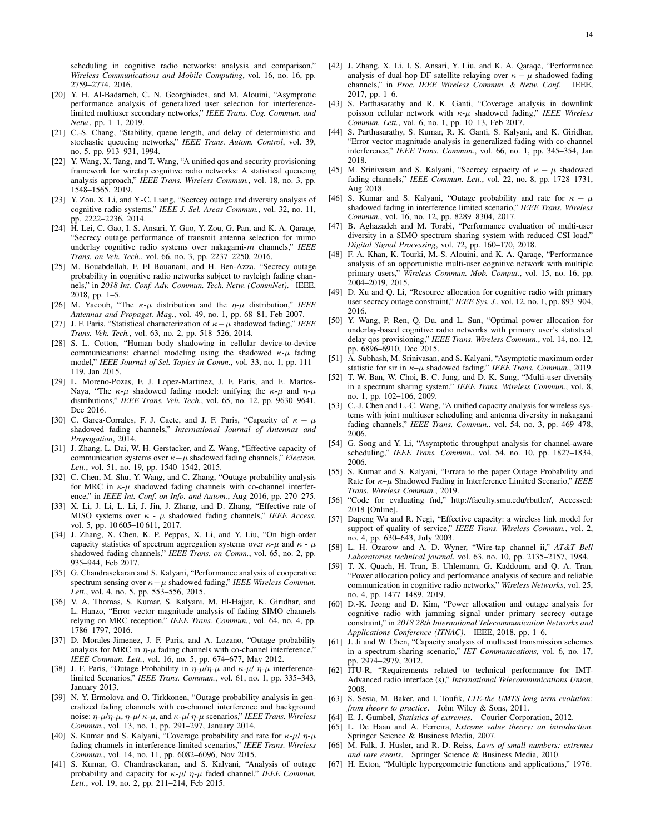scheduling in cognitive radio networks: analysis and comparison," *Wireless Communications and Mobile Computing*, vol. 16, no. 16, pp. 2759–2774, 2016.

- [20] Y. H. Al-Badarneh, C. N. Georghiades, and M. Alouini, "Asymptotic performance analysis of generalized user selection for interferencelimited multiuser secondary networks," *IEEE Trans. Cog. Commun. and Netw.*, pp. 1–1, 2019.
- [21] C.-S. Chang, "Stability, queue length, and delay of deterministic and stochastic queueing networks," *IEEE Trans. Autom. Control*, vol. 39, no. 5, pp. 913–931, 1994.
- [22] Y. Wang, X. Tang, and T. Wang, "A unified gos and security provisioning framework for wiretap cognitive radio networks: A statistical queueing analysis approach," *IEEE Trans. Wireless Commun.*, vol. 18, no. 3, pp. 1548–1565, 2019.
- [23] Y. Zou, X. Li, and Y.-C. Liang, "Secrecy outage and diversity analysis of cognitive radio systems," *IEEE J. Sel. Areas Commun.*, vol. 32, no. 11, pp. 2222–2236, 2014.
- [24] H. Lei, C. Gao, I. S. Ansari, Y. Guo, Y. Zou, G. Pan, and K. A. Qaraqe, "Secrecy outage performance of transmit antenna selection for mimo underlay cognitive radio systems over nakagami-m channels," *IEEE Trans. on Veh. Tech.*, vol. 66, no. 3, pp. 2237–2250, 2016.
- [25] M. Bouabdellah, F. El Bouanani, and H. Ben-Azza, "Secrecy outage probability in cognitive radio networks subject to rayleigh fading channels," in *2018 Int. Conf. Adv. Commun. Tech. Netw. (CommNet)*. IEEE, 2018, pp. 1–5.
- [26] M. Yacoub, "The  $\kappa$ - $\mu$  distribution and the  $\eta$ - $\mu$  distribution," *IEEE Antennas and Propagat. Mag.*, vol. 49, no. 1, pp. 68–81, Feb 2007.
- [27] J. F. Paris, "Statistical characterization of κ−µ shadowed fading," *IEEE Trans. Veh. Tech.*, vol. 63, no. 2, pp. 518–526, 2014.
- [28] S. L. Cotton, "Human body shadowing in cellular device-to-device communications: channel modeling using the shadowed  $\kappa-\mu$  fading model," *IEEE Journal of Sel. Topics in Comm.*, vol. 33, no. 1, pp. 111– 119, Jan 2015.
- [29] L. Moreno-Pozas, F. J. Lopez-Martinez, J. F. Paris, and E. Martos-Naya, "The  $\kappa-\mu$  shadowed fading model: unifying the  $\kappa-\mu$  and  $\eta-\mu$ distributions," *IEEE Trans. Veh. Tech.*, vol. 65, no. 12, pp. 9630–9641, Dec 2016.
- [30] C. Garca-Corrales, F. J. Caete, and J. F. Paris, "Capacity of  $\kappa \mu$ shadowed fading channels," *International Journal of Antennas and Propagation*, 2014.
- [31] J. Zhang, L. Dai, W. H. Gerstacker, and Z. Wang, "Effective capacity of communication systems over  $\kappa-\mu$  shadowed fading channels," *Electron*. *Lett.*, vol. 51, no. 19, pp. 1540–1542, 2015.
- [32] C. Chen, M. Shu, Y. Wang, and C. Zhang, "Outage probability analysis for MRC in  $\kappa$ - $\mu$  shadowed fading channels with co-channel interference," in *IEEE Int. Conf. on Info. and Autom.*, Aug 2016, pp. 270–275.
- [33] X. Li, J. Li, L. Li, J. Jin, J. Zhang, and D. Zhang, "Effective rate of MISO systems over  $\kappa$  -  $\mu$  shadowed fading channels," *IEEE Access*, vol. 5, pp. 10 605–10 611, 2017.
- [34] J. Zhang, X. Chen, K. P. Peppas, X. Li, and Y. Liu, "On high-order capacity statistics of spectrum aggregation systems over  $\kappa$ - $\mu$  and  $\kappa$  -  $\mu$ shadowed fading channels," *IEEE Trans. on Comm.*, vol. 65, no. 2, pp. 935–944, Feb 2017.
- [35] G. Chandrasekaran and S. Kalyani, "Performance analysis of cooperative spectrum sensing over  $\kappa - \mu$  shadowed fading," *IEEE Wireless Commun. Lett.*, vol. 4, no. 5, pp. 553–556, 2015.
- [36] V. A. Thomas, S. Kumar, S. Kalyani, M. El-Hajjar, K. Giridhar, and L. Hanzo, "Error vector magnitude analysis of fading SIMO channels relying on MRC reception," *IEEE Trans. Commun.*, vol. 64, no. 4, pp. 1786–1797, 2016.
- [37] D. Morales-Jimenez, J. F. Paris, and A. Lozano, "Outage probability analysis for MRC in  $\eta$ - $\mu$  fading channels with co-channel interference, *IEEE Commun. Lett.*, vol. 16, no. 5, pp. 674–677, May 2012.
- [38] J. F. Paris, "Outage Probability in  $\eta$ - $\mu/\eta$ - $\mu$  and  $\kappa$ - $\mu/\eta$ - $\mu$  interferencelimited Scenarios," *IEEE Trans. Commun.*, vol. 61, no. 1, pp. 335–343, January 2013.
- [39] N. Y. Ermolova and O. Tirkkonen, "Outage probability analysis in generalized fading channels with co-channel interference and background noise: η-µ/η-µ, η-µ/ κ-µ, and κ-µ/ η-µ scenarios," *IEEE Trans. Wireless Commun.*, vol. 13, no. 1, pp. 291–297, January 2014.
- [40] S. Kumar and S. Kalyani, "Coverage probability and rate for  $\kappa$ - $\mu$ / $\eta$ - $\mu$ fading channels in interference-limited scenarios," *IEEE Trans. Wireless Commun.*, vol. 14, no. 11, pp. 6082–6096, Nov 2015.
- [41] S. Kumar, G. Chandrasekaran, and S. Kalyani, "Analysis of outage probability and capacity for  $\kappa$ - $\mu$ /  $\eta$ - $\mu$  faded channel," *IEEE Commun. Lett.*, vol. 19, no. 2, pp. 211–214, Feb 2015.
- [42] J. Zhang, X. Li, I. S. Ansari, Y. Liu, and K. A. Qaraqe, "Performance analysis of dual-hop DF satellite relaying over  $\kappa - \mu$  shadowed fading channels," in *Proc. IEEE Wireless Commun. & Netw. Conf.* IEEE, 2017, pp. 1–6.
- [43] S. Parthasarathy and R. K. Ganti, "Coverage analysis in downlink poisson cellular network with κ-µ shadowed fading," *IEEE Wireless Commun. Lett.*, vol. 6, no. 1, pp. 10–13, Feb 2017.
- [44] S. Parthasarathy, S. Kumar, R. K. Ganti, S. Kalyani, and K. Giridhar, "Error vector magnitude analysis in generalized fading with co-channel interference," *IEEE Trans. Commun.*, vol. 66, no. 1, pp. 345–354, Jan 2018.
- [45] M. Srinivasan and S. Kalyani, "Secrecy capacity of  $\kappa \mu$  shadowed fading channels," *IEEE Commun. Lett.*, vol. 22, no. 8, pp. 1728–1731, Aug 2018.
- [46] S. Kumar and S. Kalyani, "Outage probability and rate for  $\kappa \mu$ shadowed fading in interference limited scenario," *IEEE Trans. Wireless Commun.*, vol. 16, no. 12, pp. 8289–8304, 2017.
- [47] B. Aghazadeh and M. Torabi, "Performance evaluation of multi-user diversity in a SIMO spectrum sharing system with reduced CSI load," *Digital Signal Processing*, vol. 72, pp. 160–170, 2018.
- [48] F. A. Khan, K. Tourki, M.-S. Alouini, and K. A. Qaraqe, "Performance analysis of an opportunistic multi-user cognitive network with multiple primary users," *Wireless Commun. Mob. Comput.*, vol. 15, no. 16, pp. 2004–2019, 2015.
- [49] D. Xu and Q. Li, "Resource allocation for cognitive radio with primary user secrecy outage constraint," *IEEE Sys. J.*, vol. 12, no. 1, pp. 893–904, 2016.
- [50] Y. Wang, P. Ren, Q. Du, and L. Sun, "Optimal power allocation for underlay-based cognitive radio networks with primary user's statistical delay qos provisioning," *IEEE Trans. Wireless Commun.*, vol. 14, no. 12, pp. 6896–6910, Dec 2015.
- [51] A. Subhash, M. Srinivasan, and S. Kalyani, "Asymptotic maximum order statistic for sir in κ–µ shadowed fading," *IEEE Trans. Commun.*, 2019.
- [52] T. W. Ban, W. Choi, B. C. Jung, and D. K. Sung, "Multi-user diversity in a spectrum sharing system," *IEEE Trans. Wireless Commun.*, vol. 8, no. 1, pp. 102–106, 2009.
- [53] C.-J. Chen and L.-C. Wang, "A unified capacity analysis for wireless systems with joint multiuser scheduling and antenna diversity in nakagami fading channels," *IEEE Trans. Commun.*, vol. 54, no. 3, pp. 469–478, 2006.
- [54] G. Song and Y. Li, "Asymptotic throughput analysis for channel-aware scheduling," *IEEE Trans. Commun.*, vol. 54, no. 10, pp. 1827–1834, 2006.
- [55] S. Kumar and S. Kalyani, "Errata to the paper Outage Probability and Rate for κ–µ Shadowed Fading in Interference Limited Scenario," *IEEE Trans. Wireless Commun.*, 2019.
- [56] "Code for evaluating fnd," http://faculty.smu.edu/rbutler/, Accessed: 2018 [Online].
- [57] Dapeng Wu and R. Negi, "Effective capacity: a wireless link model for support of quality of service," *IEEE Trans. Wireless Commun.*, vol. 2, no. 4, pp. 630–643, July 2003.
- [58] L. H. Ozarow and A. D. Wyner, "Wire-tap channel ii," *AT&T Bell Laboratories technical journal*, vol. 63, no. 10, pp. 2135–2157, 1984.
- [59] T. X. Quach, H. Tran, E. Uhlemann, G. Kaddoum, and Q. A. Tran, "Power allocation policy and performance analysis of secure and reliable communication in cognitive radio networks," *Wireless Networks*, vol. 25, no. 4, pp. 1477–1489, 2019.
- [60] D.-K. Jeong and D. Kim, "Power allocation and outage analysis for cognitive radio with jamming signal under primary secrecy outage constraint," in *2018 28th International Telecommunication Networks and Applications Conference (ITNAC)*. IEEE, 2018, pp. 1–6.
- [61] J. Ji and W. Chen, "Capacity analysis of multicast transmission schemes in a spectrum-sharing scenario," *IET Communications*, vol. 6, no. 17, pp. 2974–2979, 2012.
- [62] ITU-R, "Requirements related to technical performance for IMT-Advanced radio interface (s)," *International Telecommunications Union*, 2008.
- [63] S. Sesia, M. Baker, and I. Toufik, *LTE-the UMTS long term evolution: from theory to practice*. John Wiley & Sons, 2011.
- [64] E. J. Gumbel, *Statistics of extremes*. Courier Corporation, 2012.
- [65] L. De Haan and A. Ferreira, *Extreme value theory: an introduction*. Springer Science & Business Media, 2007.
- [66] M. Falk, J. Hüsler, and R.-D. Reiss, *Laws of small numbers: extremes and rare events*. Springer Science & Business Media, 2010.
- [67] H. Exton, "Multiple hypergeometric functions and applications," 1976.